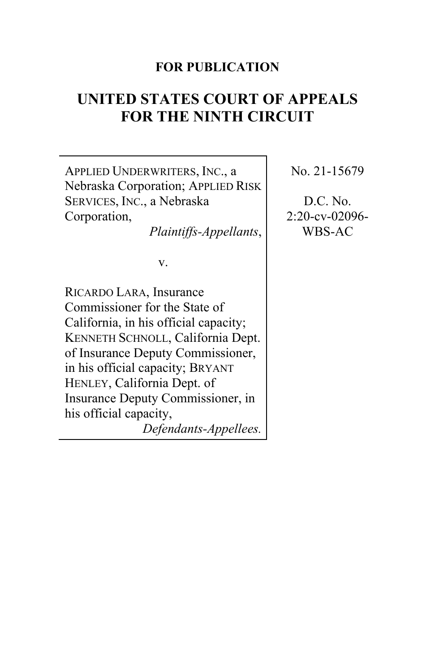### **FOR PUBLICATION**

# **UNITED STATES COURT OF APPEALS FOR THE NINTH CIRCUIT**

APPLIED UNDERWRITERS, INC., a Nebraska Corporation; APPLIED RISK SERVICES, INC., a Nebraska Corporation, *Plaintiffs-Appellants*, v. RICARDO LARA, Insurance Commissioner for the State of California, in his official capacity; KENNETH SCHNOLL, California Dept. of Insurance Deputy Commissioner, in his official capacity; BRYANT HENLEY, California Dept. of Insurance Deputy Commissioner, in his official capacity,

*Defendants-Appellees.*

No. 21-15679

D.C. No. 2:20-cv-02096- WBS-AC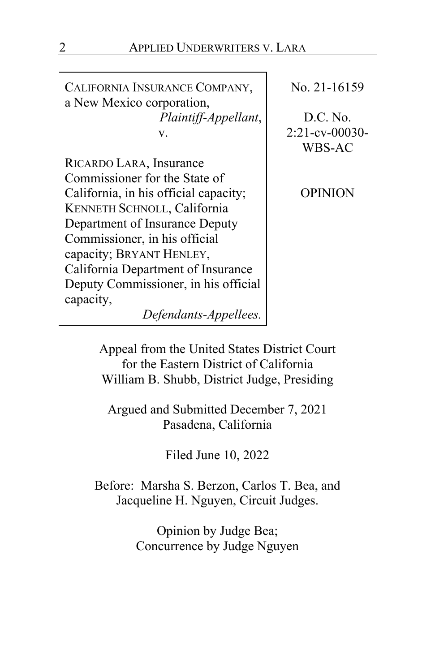CALIFORNIA INSURANCE COMPANY, a New Mexico corporation, *Plaintiff-Appellant*, v.

RICARDO LARA, Insurance Commissioner for the State of California, in his official capacity; KENNETH SCHNOLL, California Department of Insurance Deputy Commissioner, in his official capacity; BRYANT HENLEY, California Department of Insurance Deputy Commissioner, in his official capacity,

No. 21-16159

D.C. No. 2:21-cv-00030- WBS-AC

OPINION

Appeal from the United States District Court

*Defendants-Appellees.*

for the Eastern District of California William B. Shubb, District Judge, Presiding

Argued and Submitted December 7, 2021 Pasadena, California

Filed June 10, 2022

Before: Marsha S. Berzon, Carlos T. Bea, and Jacqueline H. Nguyen, Circuit Judges.

> Opinion by Judge Bea; Concurrence by Judge Nguyen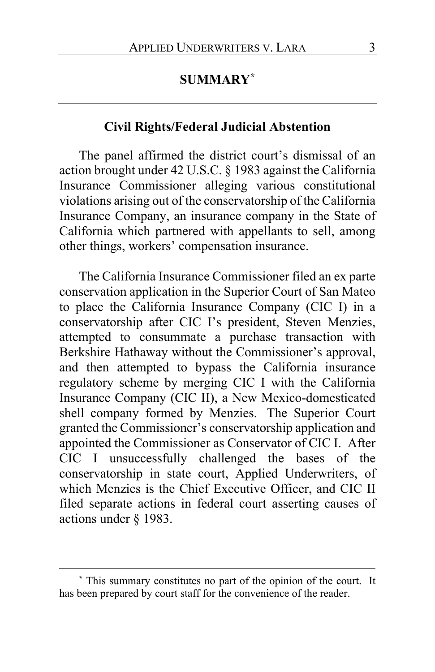# **SUMMARY[\\*](#page-2-0)**

### **Civil Rights/Federal Judicial Abstention**

The panel affirmed the district court's dismissal of an action brought under 42 U.S.C. § 1983 against the California Insurance Commissioner alleging various constitutional violations arising out of the conservatorship of the California Insurance Company, an insurance company in the State of California which partnered with appellants to sell, among other things, workers' compensation insurance.

The California Insurance Commissioner filed an ex parte conservation application in the Superior Court of San Mateo to place the California Insurance Company (CIC I) in a conservatorship after CIC I's president, Steven Menzies, attempted to consummate a purchase transaction with Berkshire Hathaway without the Commissioner's approval, and then attempted to bypass the California insurance regulatory scheme by merging CIC I with the California Insurance Company (CIC II), a New Mexico-domesticated shell company formed by Menzies. The Superior Court granted the Commissioner's conservatorship application and appointed the Commissioner as Conservator of CIC I. After CIC I unsuccessfully challenged the bases of the conservatorship in state court, Applied Underwriters, of which Menzies is the Chief Executive Officer, and CIC II filed separate actions in federal court asserting causes of actions under § 1983.

<span id="page-2-0"></span>**<sup>\*</sup>** This summary constitutes no part of the opinion of the court. It has been prepared by court staff for the convenience of the reader.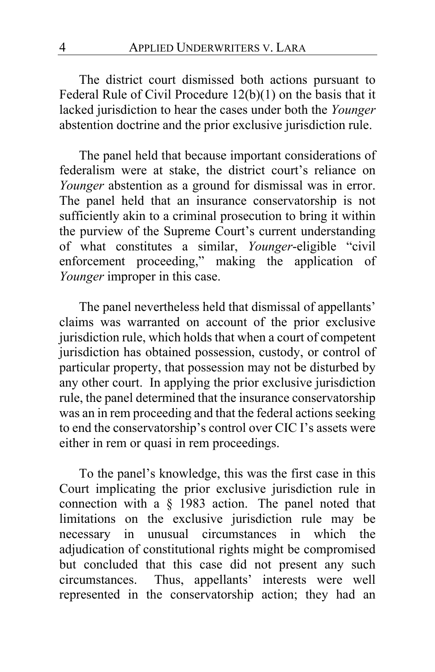The district court dismissed both actions pursuant to Federal Rule of Civil Procedure 12(b)(1) on the basis that it lacked jurisdiction to hear the cases under both the *Younger*  abstention doctrine and the prior exclusive jurisdiction rule.

The panel held that because important considerations of federalism were at stake, the district court's reliance on *Younger* abstention as a ground for dismissal was in error. The panel held that an insurance conservatorship is not sufficiently akin to a criminal prosecution to bring it within the purview of the Supreme Court's current understanding of what constitutes a similar, *Younger*-eligible "civil enforcement proceeding," making the application of *Younger* improper in this case.

The panel nevertheless held that dismissal of appellants' claims was warranted on account of the prior exclusive jurisdiction rule, which holds that when a court of competent jurisdiction has obtained possession, custody, or control of particular property, that possession may not be disturbed by any other court. In applying the prior exclusive jurisdiction rule, the panel determined that the insurance conservatorship was an in rem proceeding and that the federal actions seeking to end the conservatorship's control over CIC I's assets were either in rem or quasi in rem proceedings.

To the panel's knowledge, this was the first case in this Court implicating the prior exclusive jurisdiction rule in connection with a § 1983 action. The panel noted that limitations on the exclusive jurisdiction rule may be necessary in unusual circumstances in which the adjudication of constitutional rights might be compromised but concluded that this case did not present any such circumstances. Thus, appellants' interests were well represented in the conservatorship action; they had an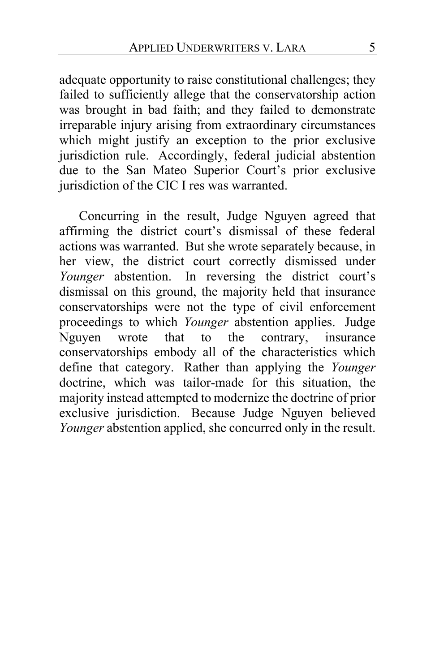adequate opportunity to raise constitutional challenges; they failed to sufficiently allege that the conservatorship action was brought in bad faith; and they failed to demonstrate irreparable injury arising from extraordinary circumstances which might justify an exception to the prior exclusive jurisdiction rule. Accordingly, federal judicial abstention due to the San Mateo Superior Court's prior exclusive jurisdiction of the CIC I res was warranted.

Concurring in the result, Judge Nguyen agreed that affirming the district court's dismissal of these federal actions was warranted. But she wrote separately because, in her view, the district court correctly dismissed under *Younger* abstention. In reversing the district court's dismissal on this ground, the majority held that insurance conservatorships were not the type of civil enforcement proceedings to which *Younger* abstention applies. Judge Nguyen wrote that to the contrary, insurance conservatorships embody all of the characteristics which define that category. Rather than applying the *Younger* doctrine, which was tailor-made for this situation, the majority instead attempted to modernize the doctrine of prior exclusive jurisdiction. Because Judge Nguyen believed *Younger* abstention applied, she concurred only in the result.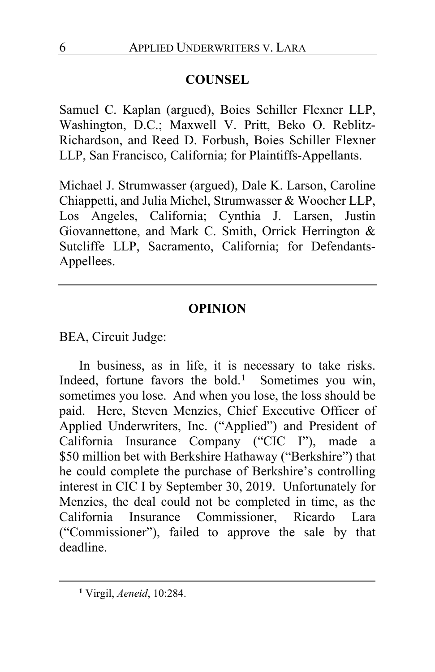# **COUNSEL**

Samuel C. Kaplan (argued), Boies Schiller Flexner LLP, Washington, D.C.; Maxwell V. Pritt, Beko O. Reblitz-Richardson, and Reed D. Forbush, Boies Schiller Flexner LLP, San Francisco, California; for Plaintiffs-Appellants.

Michael J. Strumwasser (argued), Dale K. Larson, Caroline Chiappetti, and Julia Michel, Strumwasser & Woocher LLP, Los Angeles, California; Cynthia J. Larsen, Justin Giovannettone, and Mark C. Smith, Orrick Herrington & Sutcliffe LLP, Sacramento, California; for Defendants-Appellees.

# **OPINION**

BEA, Circuit Judge:

In business, as in life, it is necessary to take risks. Indeed, fortune favors the bold.**[1](#page-5-0)** Sometimes you win, sometimes you lose. And when you lose, the loss should be paid. Here, Steven Menzies, Chief Executive Officer of Applied Underwriters, Inc. ("Applied") and President of California Insurance Company ("CIC I"), made a \$50 million bet with Berkshire Hathaway ("Berkshire") that he could complete the purchase of Berkshire's controlling interest in CIC I by September 30, 2019. Unfortunately for Menzies, the deal could not be completed in time, as the California Insurance Commissioner, Ricardo Lara ("Commissioner"), failed to approve the sale by that deadline.

<span id="page-5-0"></span>**<sup>1</sup>** Virgil, *Aeneid*, 10:284.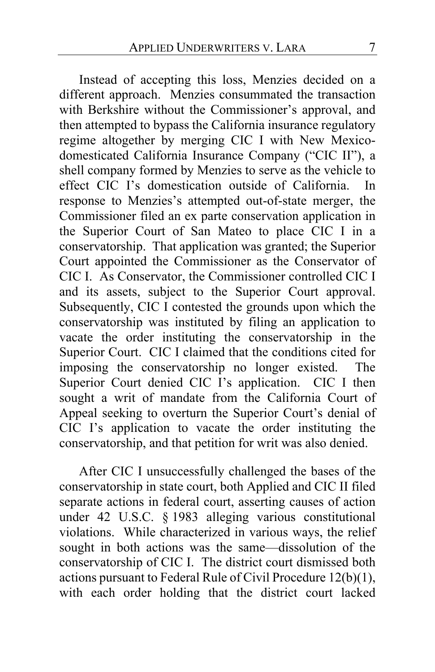Instead of accepting this loss, Menzies decided on a different approach. Menzies consummated the transaction with Berkshire without the Commissioner's approval, and then attempted to bypass the California insurance regulatory regime altogether by merging CIC I with New Mexicodomesticated California Insurance Company ("CIC II"), a shell company formed by Menzies to serve as the vehicle to effect CIC I's domestication outside of California. In response to Menzies's attempted out-of-state merger, the Commissioner filed an ex parte conservation application in the Superior Court of San Mateo to place CIC I in a conservatorship. That application was granted; the Superior Court appointed the Commissioner as the Conservator of CIC I. As Conservator, the Commissioner controlled CIC I and its assets, subject to the Superior Court approval. Subsequently, CIC I contested the grounds upon which the conservatorship was instituted by filing an application to vacate the order instituting the conservatorship in the Superior Court. CIC I claimed that the conditions cited for imposing the conservatorship no longer existed. The Superior Court denied CIC I's application. CIC I then sought a writ of mandate from the California Court of Appeal seeking to overturn the Superior Court's denial of CIC I's application to vacate the order instituting the conservatorship, and that petition for writ was also denied.

After CIC I unsuccessfully challenged the bases of the conservatorship in state court, both Applied and CIC II filed separate actions in federal court, asserting causes of action under 42 U.S.C. § 1983 alleging various constitutional violations. While characterized in various ways, the relief sought in both actions was the same—dissolution of the conservatorship of CIC I. The district court dismissed both actions pursuant to Federal Rule of Civil Procedure 12(b)(1), with each order holding that the district court lacked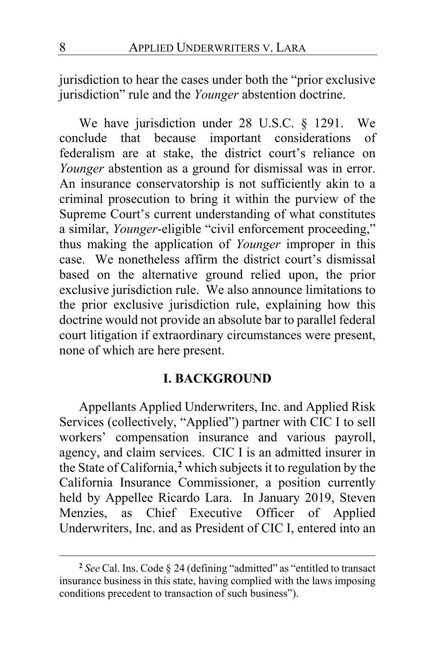jurisdiction to hear the cases under both the "prior exclusive jurisdiction" rule and the *Younger* abstention doctrine.

We have jurisdiction under 28 U.S.C. § 1291. We conclude that because important considerations of federalism are at stake, the district court's reliance on *Younger* abstention as a ground for dismissal was in error. An insurance conservatorship is not sufficiently akin to a criminal prosecution to bring it within the purview of the Supreme Court's current understanding of what constitutes a similar, *Younger*-eligible "civil enforcement proceeding," thus making the application of *Younger* improper in this case. We nonetheless affirm the district court's dismissal based on the alternative ground relied upon, the prior exclusive jurisdiction rule. We also announce limitations to the prior exclusive jurisdiction rule, explaining how this doctrine would not provide an absolute bar to parallel federal court litigation if extraordinary circumstances were present, none of which are here present.

### **I. BACKGROUND**

Appellants Applied Underwriters, Inc. and Applied Risk Services (collectively, "Applied") partner with CIC I to sell workers' compensation insurance and various payroll, agency, and claim services. CIC I is an admitted insurer in the State of California,**[2](#page-7-0)** which subjects it to regulation by the California Insurance Commissioner, a position currently held by Appellee Ricardo Lara. In January 2019, Steven Menzies, as Chief Executive Officer of Applied Underwriters, Inc. and as President of CIC I, entered into an

<span id="page-7-0"></span>**<sup>2</sup>** *See* Cal. Ins. Code § 24 (defining "admitted" as "entitled to transact insurance business in this state, having complied with the laws imposing conditions precedent to transaction of such business").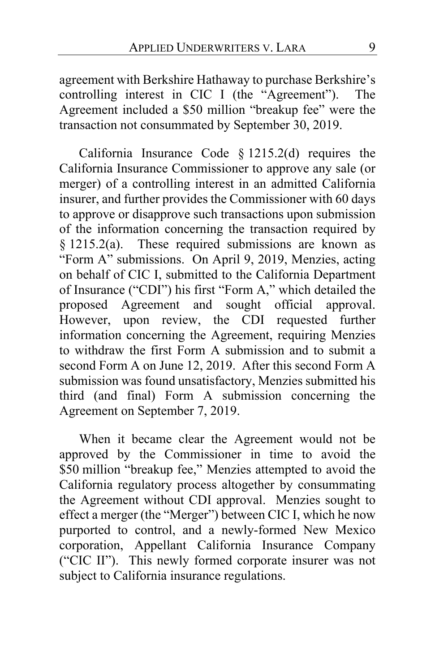agreement with Berkshire Hathaway to purchase Berkshire's controlling interest in CIC I (the "Agreement"). The Agreement included a \$50 million "breakup fee" were the transaction not consummated by September 30, 2019.

California Insurance Code § 1215.2(d) requires the California Insurance Commissioner to approve any sale (or merger) of a controlling interest in an admitted California insurer, and further provides the Commissioner with 60 days to approve or disapprove such transactions upon submission of the information concerning the transaction required by § 1215.2(a). These required submissions are known as "Form A" submissions. On April 9, 2019, Menzies, acting on behalf of CIC I, submitted to the California Department of Insurance ("CDI") his first "Form A," which detailed the proposed Agreement and sought official approval. However, upon review, the CDI requested further information concerning the Agreement, requiring Menzies to withdraw the first Form A submission and to submit a second Form A on June 12, 2019. After this second Form A submission was found unsatisfactory, Menzies submitted his third (and final) Form A submission concerning the Agreement on September 7, 2019.

When it became clear the Agreement would not be approved by the Commissioner in time to avoid the \$50 million "breakup fee," Menzies attempted to avoid the California regulatory process altogether by consummating the Agreement without CDI approval. Menzies sought to effect a merger (the "Merger") between CIC I, which he now purported to control, and a newly-formed New Mexico corporation, Appellant California Insurance Company ("CIC II"). This newly formed corporate insurer was not subject to California insurance regulations.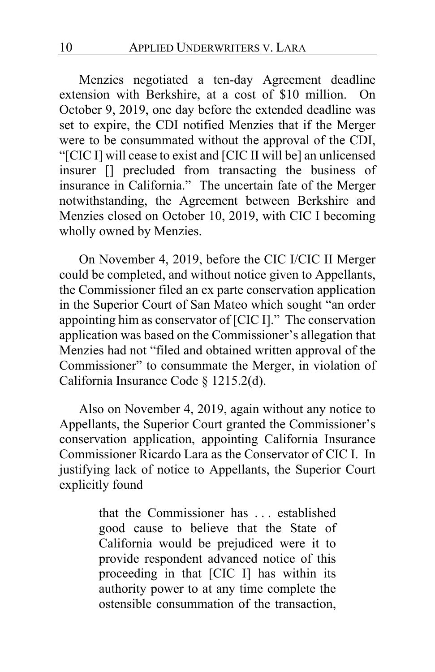Menzies negotiated a ten-day Agreement deadline extension with Berkshire, at a cost of \$10 million. On October 9, 2019, one day before the extended deadline was set to expire, the CDI notified Menzies that if the Merger were to be consummated without the approval of the CDI, "[CIC I] will cease to exist and [CIC II will be] an unlicensed insurer [] precluded from transacting the business of insurance in California." The uncertain fate of the Merger notwithstanding, the Agreement between Berkshire and Menzies closed on October 10, 2019, with CIC I becoming wholly owned by Menzies.

On November 4, 2019, before the CIC I/CIC II Merger could be completed, and without notice given to Appellants, the Commissioner filed an ex parte conservation application in the Superior Court of San Mateo which sought "an order appointing him as conservator of [CIC I]." The conservation application was based on the Commissioner's allegation that Menzies had not "filed and obtained written approval of the Commissioner" to consummate the Merger, in violation of California Insurance Code § 1215.2(d).

Also on November 4, 2019, again without any notice to Appellants, the Superior Court granted the Commissioner's conservation application, appointing California Insurance Commissioner Ricardo Lara as the Conservator of CIC I. In justifying lack of notice to Appellants, the Superior Court explicitly found

> that the Commissioner has . . . established good cause to believe that the State of California would be prejudiced were it to provide respondent advanced notice of this proceeding in that [CIC I] has within its authority power to at any time complete the ostensible consummation of the transaction,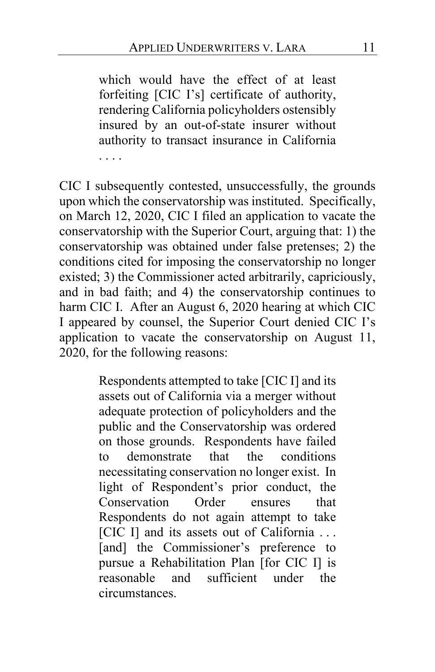which would have the effect of at least forfeiting [CIC I's] certificate of authority, rendering California policyholders ostensibly insured by an out-of-state insurer without authority to transact insurance in California . . . .

CIC I subsequently contested, unsuccessfully, the grounds upon which the conservatorship was instituted. Specifically, on March 12, 2020, CIC I filed an application to vacate the conservatorship with the Superior Court, arguing that: 1) the conservatorship was obtained under false pretenses; 2) the conditions cited for imposing the conservatorship no longer existed; 3) the Commissioner acted arbitrarily, capriciously, and in bad faith; and 4) the conservatorship continues to harm CIC I. After an August 6, 2020 hearing at which CIC I appeared by counsel, the Superior Court denied CIC I's application to vacate the conservatorship on August 11, 2020, for the following reasons:

> Respondents attempted to take [CIC I] and its assets out of California via a merger without adequate protection of policyholders and the public and the Conservatorship was ordered on those grounds. Respondents have failed to demonstrate that the conditions necessitating conservation no longer exist. In light of Respondent's prior conduct, the Conservation Order ensures that Respondents do not again attempt to take [CIC I] and its assets out of California ... [and] the Commissioner's preference to pursue a Rehabilitation Plan [for CIC I] is reasonable and sufficient under the circumstances.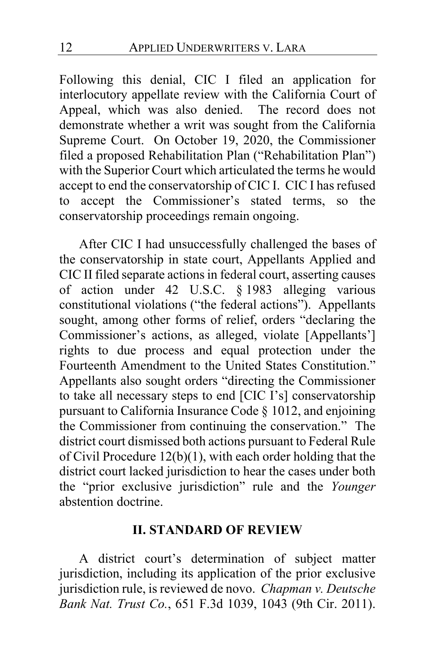Following this denial, CIC I filed an application for interlocutory appellate review with the California Court of Appeal, which was also denied. The record does not demonstrate whether a writ was sought from the California Supreme Court. On October 19, 2020, the Commissioner filed a proposed Rehabilitation Plan ("Rehabilitation Plan") with the Superior Court which articulated the terms he would accept to end the conservatorship of CIC I. CIC I has refused to accept the Commissioner's stated terms, so the conservatorship proceedings remain ongoing.

After CIC I had unsuccessfully challenged the bases of the conservatorship in state court, Appellants Applied and CIC II filed separate actions in federal court, asserting causes of action under 42 U.S.C. § 1983 alleging various constitutional violations ("the federal actions"). Appellants sought, among other forms of relief, orders "declaring the Commissioner's actions, as alleged, violate [Appellants'] rights to due process and equal protection under the Fourteenth Amendment to the United States Constitution." Appellants also sought orders "directing the Commissioner to take all necessary steps to end [CIC I's] conservatorship pursuant to California Insurance Code § 1012, and enjoining the Commissioner from continuing the conservation." The district court dismissed both actions pursuant to Federal Rule of Civil Procedure 12(b)(1), with each order holding that the district court lacked jurisdiction to hear the cases under both the "prior exclusive jurisdiction" rule and the *Younger*  abstention doctrine.

### **II. STANDARD OF REVIEW**

A district court's determination of subject matter jurisdiction, including its application of the prior exclusive jurisdiction rule, is reviewed de novo. *Chapman v. Deutsche Bank Nat. Trust Co.*, 651 F.3d 1039, 1043 (9th Cir. 2011).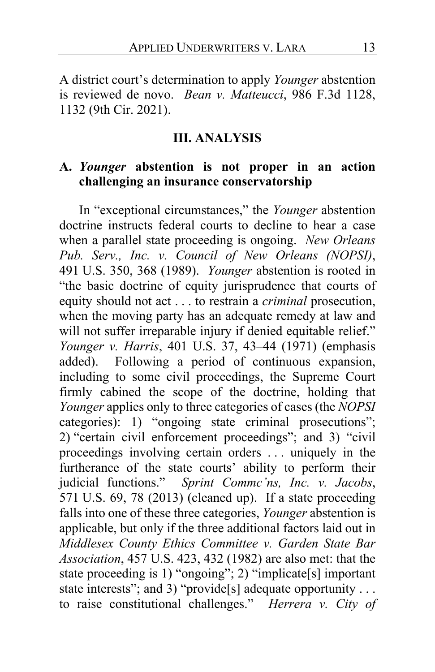A district court's determination to apply *Younger* abstention is reviewed de novo. *Bean v. Matteucci*, 986 F.3d 1128, 1132 (9th Cir. 2021).

### **III. ANALYSIS**

# **A.** *Younger* **abstention is not proper in an action challenging an insurance conservatorship**

In "exceptional circumstances," the *Younger* abstention doctrine instructs federal courts to decline to hear a case when a parallel state proceeding is ongoing. *New Orleans Pub. Serv., Inc. v. Council of New Orleans (NOPSI)*, 491 U.S. 350, 368 (1989). *Younger* abstention is rooted in "the basic doctrine of equity jurisprudence that courts of equity should not act . . . to restrain a *criminal* prosecution, when the moving party has an adequate remedy at law and will not suffer irreparable injury if denied equitable relief." *Younger v. Harris*, 401 U.S. 37, 43–44 (1971) (emphasis added). Following a period of continuous expansion, including to some civil proceedings, the Supreme Court firmly cabined the scope of the doctrine, holding that *Younger* applies only to three categories of cases (the *NOPSI* categories): 1) "ongoing state criminal prosecutions"; 2) "certain civil enforcement proceedings"; and 3) "civil proceedings involving certain orders . . . uniquely in the furtherance of the state courts' ability to perform their judicial functions." *Sprint Commc'ns, Inc. v. Jacobs*, 571 U.S. 69, 78 (2013) (cleaned up). If a state proceeding falls into one of these three categories, *Younger* abstention is applicable, but only if the three additional factors laid out in *Middlesex County Ethics Committee v. Garden State Bar Association*, 457 U.S. 423, 432 (1982) are also met: that the state proceeding is 1) "ongoing"; 2) "implicate[s] important state interests"; and 3) "provide<sup>[s]</sup> adequate opportunity . . . to raise constitutional challenges." *Herrera v. City of*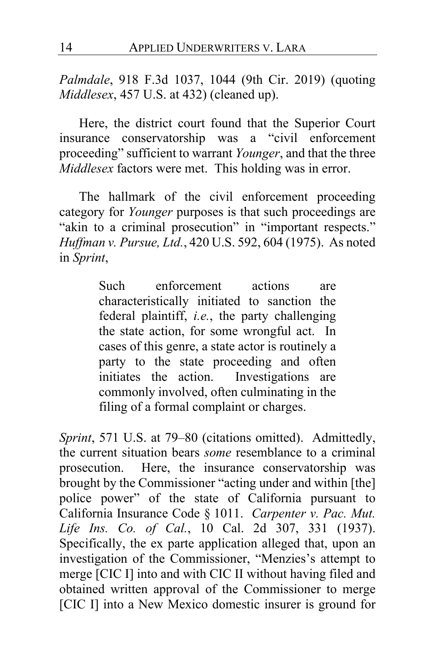*Palmdale*, 918 F.3d 1037, 1044 (9th Cir. 2019) (quoting *Middlesex*, 457 U.S. at 432) (cleaned up).

Here, the district court found that the Superior Court insurance conservatorship was a "civil enforcement proceeding" sufficient to warrant *Younger*, and that the three *Middlesex* factors were met. This holding was in error.

The hallmark of the civil enforcement proceeding category for *Younger* purposes is that such proceedings are "akin to a criminal prosecution" in "important respects." *Huffman v. Pursue, Ltd.*, 420 U.S. 592, 604 (1975). As noted in *Sprint*,

> Such enforcement actions are characteristically initiated to sanction the federal plaintiff, *i.e.*, the party challenging the state action, for some wrongful act. In cases of this genre, a state actor is routinely a party to the state proceeding and often initiates the action. Investigations are commonly involved, often culminating in the filing of a formal complaint or charges.

*Sprint*, 571 U.S. at 79–80 (citations omitted). Admittedly, the current situation bears *some* resemblance to a criminal prosecution. Here, the insurance conservatorship was brought by the Commissioner "acting under and within [the] police power" of the state of California pursuant to California Insurance Code § 1011. *Carpenter v. Pac. Mut. Life Ins. Co. of Cal.*, 10 Cal. 2d 307, 331 (1937). Specifically, the ex parte application alleged that, upon an investigation of the Commissioner, "Menzies's attempt to merge [CIC I] into and with CIC II without having filed and obtained written approval of the Commissioner to merge [CIC I] into a New Mexico domestic insurer is ground for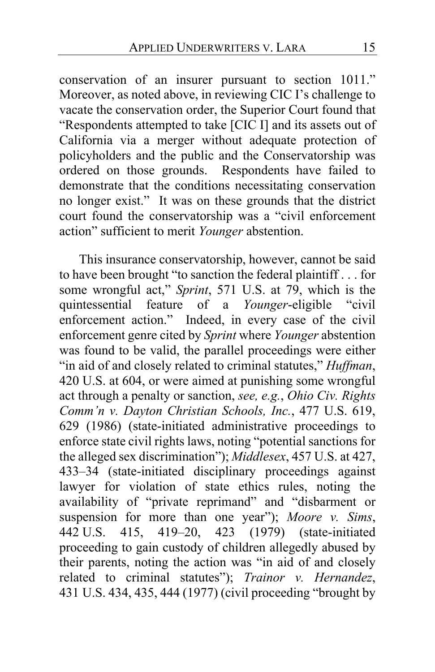conservation of an insurer pursuant to section 1011." Moreover, as noted above, in reviewing CIC I's challenge to vacate the conservation order, the Superior Court found that "Respondents attempted to take [CIC I] and its assets out of California via a merger without adequate protection of policyholders and the public and the Conservatorship was ordered on those grounds. Respondents have failed to demonstrate that the conditions necessitating conservation no longer exist." It was on these grounds that the district court found the conservatorship was a "civil enforcement action" sufficient to merit *Younger* abstention.

<span id="page-14-0"></span>This insurance conservatorship, however, cannot be said to have been brought "to sanction the federal plaintiff . . . for some wrongful act," *Sprint*, 571 U.S. at 79, which is the quintessential feature of a *Younger*-eligible "civil enforcement action." Indeed, in every case of the civil enforcement genre cited by *Sprint* where *Younger* abstention was found to be valid, the parallel proceedings were either "in aid of and closely related to criminal statutes," *Huffman*, 420 U.S. at 604, or were aimed at punishing some wrongful act through a penalty or sanction, *see, e.g.*, *Ohio Civ. Rights Comm'n v. Dayton Christian Schools, Inc.*, 477 U.S. 619, 629 (1986) (state-initiated administrative proceedings to enforce state civil rights laws, noting "potential sanctions for the alleged sex discrimination"); *Middlesex*, 457 U.S. at 427, 433–34 (state-initiated disciplinary proceedings against lawyer for violation of state ethics rules, noting the availability of "private reprimand" and "disbarment or suspension for more than one year"); *Moore v. Sims*, 442 U.S. 415, 419–20, 423 (1979) (state-initiated proceeding to gain custody of children allegedly abused by their parents, noting the action was "in aid of and closely related to criminal statutes"); *Trainor v. Hernandez*, 431 U.S. 434, 435, 444 (1977) (civil proceeding "brought by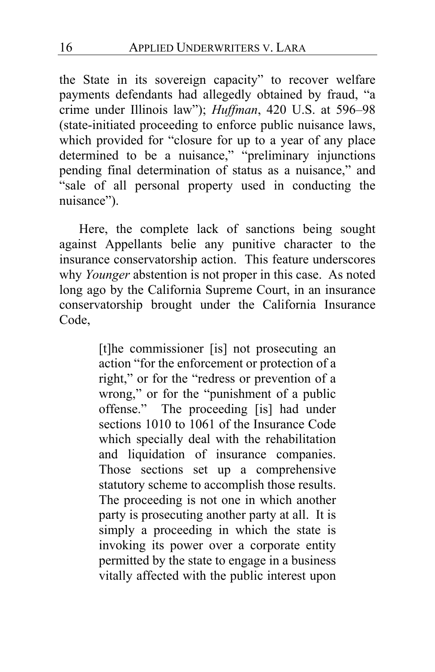the State in its sovereign capacity" to recover welfare payments defendants had allegedly obtained by fraud, "a crime under Illinois law"); *Huffman*, 420 U.S. at 596–98 (state-initiated proceeding to enforce public nuisance laws, which provided for "closure for up to a year of any place determined to be a nuisance," "preliminary injunctions pending final determination of status as a nuisance," and "sale of all personal property used in conducting the nuisance").

<span id="page-15-0"></span>Here, the complete lack of sanctions being sought against Appellants belie any punitive character to the insurance conservatorship action. This feature underscores why *Younger* abstention is not proper in this case. As noted long ago by the California Supreme Court, in an insurance conservatorship brought under the California Insurance Code,

> [t]he commissioner [is] not prosecuting an action "for the enforcement or protection of a right," or for the "redress or prevention of a wrong," or for the "punishment of a public offense." The proceeding [is] had under sections 1010 to 1061 of the Insurance Code which specially deal with the rehabilitation and liquidation of insurance companies. Those sections set up a comprehensive statutory scheme to accomplish those results. The proceeding is not one in which another party is prosecuting another party at all. It is simply a proceeding in which the state is invoking its power over a corporate entity permitted by the state to engage in a business vitally affected with the public interest upon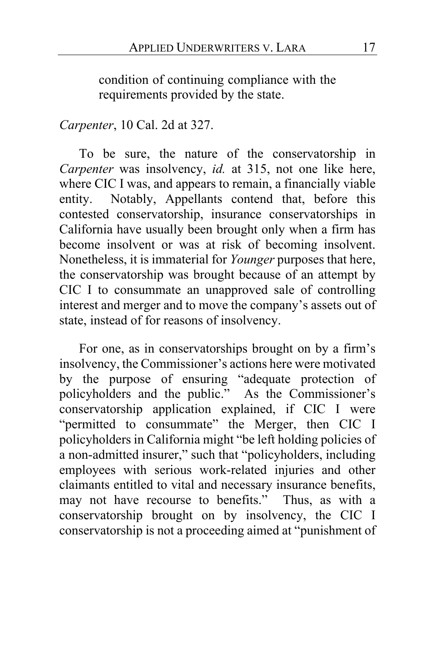condition of continuing compliance with the requirements provided by the state.

### *Carpenter*, 10 Cal. 2d at 327.

To be sure, the nature of the conservatorship in *Carpenter* was insolvency, *id.* at 315, not one like here, where CIC I was, and appears to remain, a financially viable entity. Notably, Appellants contend that, before this contested conservatorship, insurance conservatorships in California have usually been brought only when a firm has become insolvent or was at risk of becoming insolvent. Nonetheless, it is immaterial for *Younger* purposes that here, the conservatorship was brought because of an attempt by CIC I to consummate an unapproved sale of controlling interest and merger and to move the company's assets out of state, instead of for reasons of insolvency.

For one, as in conservatorships brought on by a firm's insolvency, the Commissioner's actions here were motivated by the purpose of ensuring "adequate protection of policyholders and the public." As the Commissioner's conservatorship application explained, if CIC I were "permitted to consummate" the Merger, then CIC I policyholders in California might "be left holding policies of a non-admitted insurer," such that "policyholders, including employees with serious work-related injuries and other claimants entitled to vital and necessary insurance benefits, may not have recourse to benefits." Thus, as with a conservatorship brought on by insolvency, the CIC I conservatorship is not a proceeding aimed at "punishment of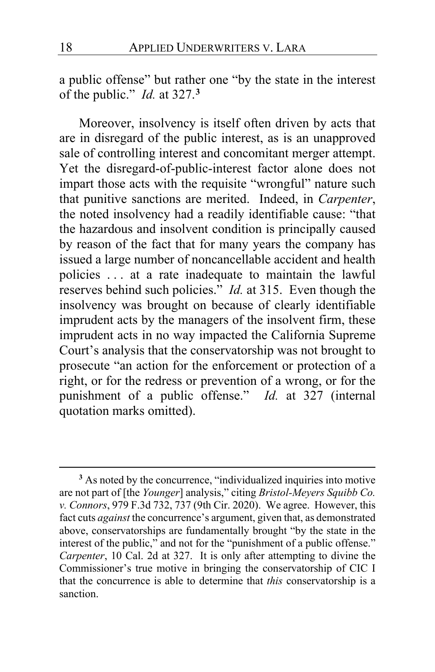a public offense" but rather one "by the state in the interest of the public." *Id.* at 327.**[3](#page-17-0)**

<span id="page-17-1"></span>Moreover, insolvency is itself often driven by acts that are in disregard of the public interest, as is an unapproved sale of controlling interest and concomitant merger attempt. Yet the disregard-of-public-interest factor alone does not impart those acts with the requisite "wrongful" nature such that punitive sanctions are merited. Indeed, in *Carpenter*, the noted insolvency had a readily identifiable cause: "that the hazardous and insolvent condition is principally caused by reason of the fact that for many years the company has issued a large number of noncancellable accident and health policies . . . at a rate inadequate to maintain the lawful reserves behind such policies." *Id.* at 315. Even though the insolvency was brought on because of clearly identifiable imprudent acts by the managers of the insolvent firm, these imprudent acts in no way impacted the California Supreme Court's analysis that the conservatorship was not brought to prosecute "an action for the enforcement or protection of a right, or for the redress or prevention of a wrong, or for the punishment of a public offense." *Id.* at 327 (internal quotation marks omitted).

<span id="page-17-2"></span><span id="page-17-0"></span>**<sup>3</sup>** As noted by the concurrence, "individualized inquiries into motive are not part of [the *Younger*] analysis," citing *Bristol-Meyers Squibb Co. v. Connors*, 979 F.3d 732, 737 (9th Cir. 2020). We agree. However, this fact cuts *against* the concurrence's argument, given that, as demonstrated above, conservatorships are fundamentally brought "by the state in the interest of the public," and not for the "punishment of a public offense." *Carpenter*, 10 Cal. 2d at 327. It is only after attempting to divine the Commissioner's true motive in bringing the conservatorship of CIC I that the concurrence is able to determine that *this* conservatorship is a sanction.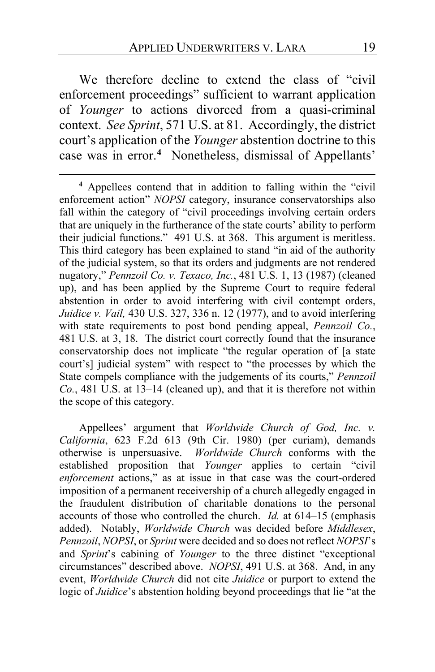We therefore decline to extend the class of "civil" enforcement proceedings" sufficient to warrant application of *Younger* to actions divorced from a quasi-criminal context. *See Sprint*, 571 U.S. at 81. Accordingly, the district court's application of the *Younger* abstention doctrine to this case was in error.**[4](#page-18-0)** Nonetheless, dismissal of Appellants'

<span id="page-18-0"></span>**<sup>4</sup>** Appellees contend that in addition to falling within the "civil enforcement action" *NOPSI* category, insurance conservatorships also fall within the category of "civil proceedings involving certain orders that are uniquely in the furtherance of the state courts' ability to perform their judicial functions." 491 U.S. at 368. This argument is meritless. This third category has been explained to stand "in aid of the authority of the judicial system, so that its orders and judgments are not rendered nugatory," *Pennzoil Co. v. Texaco, Inc.*, 481 U.S. 1, 13 (1987) (cleaned up), and has been applied by the Supreme Court to require federal abstention in order to avoid interfering with civil contempt orders, *Juidice v. Vail,* 430 U.S. 327, 336 n. 12 (1977), and to avoid interfering with state requirements to post bond pending appeal, *Pennzoil Co.*, 481 U.S. at 3, 18. The district court correctly found that the insurance conservatorship does not implicate "the regular operation of [a state court's] judicial system" with respect to "the processes by which the State compels compliance with the judgements of its courts," *Pennzoil Co.*, 481 U.S. at 13–14 (cleaned up), and that it is therefore not within the scope of this category.

Appellees' argument that *Worldwide Church of God, Inc. v. California*, 623 F.2d 613 (9th Cir. 1980) (per curiam), demands otherwise is unpersuasive. *Worldwide Church* conforms with the established proposition that *Younger* applies to certain "civil *enforcement* actions," as at issue in that case was the court-ordered imposition of a permanent receivership of a church allegedly engaged in the fraudulent distribution of charitable donations to the personal accounts of those who controlled the church. *Id.* at 614–15 (emphasis added). Notably, *Worldwide Church* was decided before *Middlesex*, *Pennzoil*, *NOPSI*, or *Sprint* were decided and so does not reflect *NOPSI*'s and *Sprint*'s cabining of *Younger* to the three distinct "exceptional circumstances" described above. *NOPSI*, 491 U.S. at 368. And, in any event, *Worldwide Church* did not cite *Juidice* or purport to extend the logic of *Juidice*'s abstention holding beyond proceedings that lie "at the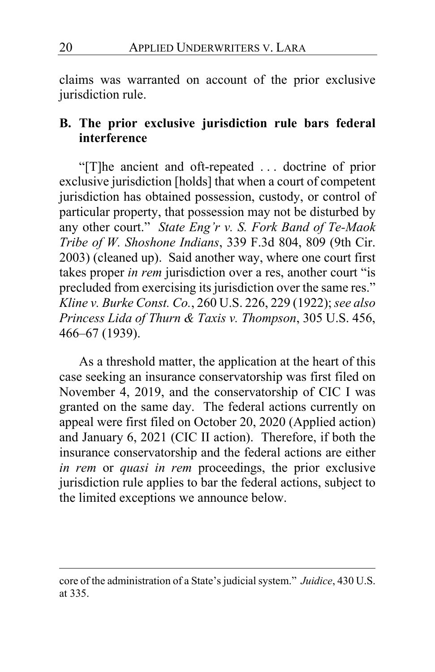claims was warranted on account of the prior exclusive jurisdiction rule.

## **B. The prior exclusive jurisdiction rule bars federal interference**

"[T]he ancient and oft-repeated . . . doctrine of prior exclusive jurisdiction [holds] that when a court of competent jurisdiction has obtained possession, custody, or control of particular property, that possession may not be disturbed by any other court." *State Eng'r v. S. Fork Band of Te-Maok Tribe of W. Shoshone Indians*, 339 F.3d 804, 809 (9th Cir. 2003) (cleaned up). Said another way, where one court first takes proper *in rem* jurisdiction over a res, another court "is precluded from exercising its jurisdiction over the same res." *Kline v. Burke Const. Co.*, 260 U.S. 226, 229 (1922); *see also Princess Lida of Thurn & Taxis v. Thompson*, 305 U.S. 456, 466–67 (1939).

As a threshold matter, the application at the heart of this case seeking an insurance conservatorship was first filed on November 4, 2019, and the conservatorship of CIC I was granted on the same day. The federal actions currently on appeal were first filed on October 20, 2020 (Applied action) and January 6, 2021 (CIC II action). Therefore, if both the insurance conservatorship and the federal actions are either *in rem* or *quasi in rem* proceedings, the prior exclusive jurisdiction rule applies to bar the federal actions, subject to the limited exceptions we announce below.

core of the administration of a State's judicial system." *Juidice*, 430 U.S. at 335.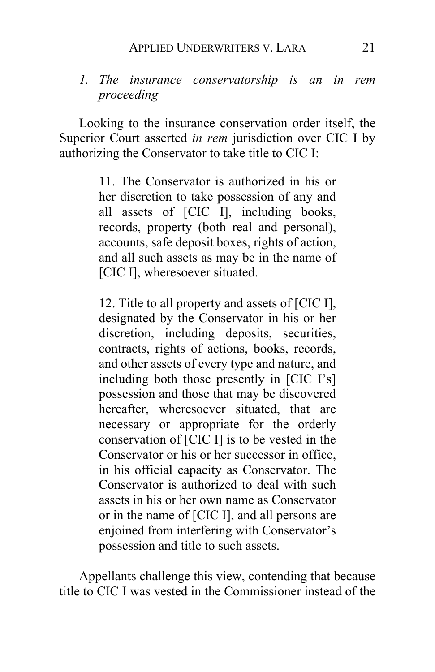### *1. The insurance conservatorship is an in rem proceeding*

Looking to the insurance conservation order itself, the Superior Court asserted *in rem* jurisdiction over CIC I by authorizing the Conservator to take title to CIC I:

> 11. The Conservator is authorized in his or her discretion to take possession of any and all assets of [CIC I], including books, records, property (both real and personal), accounts, safe deposit boxes, rights of action, and all such assets as may be in the name of [CIC I], wheresoever situated.

> 12. Title to all property and assets of [CIC I], designated by the Conservator in his or her discretion, including deposits, securities, contracts, rights of actions, books, records, and other assets of every type and nature, and including both those presently in [CIC I's] possession and those that may be discovered hereafter, wheresoever situated, that are necessary or appropriate for the orderly conservation of [CIC I] is to be vested in the Conservator or his or her successor in office, in his official capacity as Conservator. The Conservator is authorized to deal with such assets in his or her own name as Conservator or in the name of [CIC I], and all persons are enjoined from interfering with Conservator's possession and title to such assets.

Appellants challenge this view, contending that because title to CIC I was vested in the Commissioner instead of the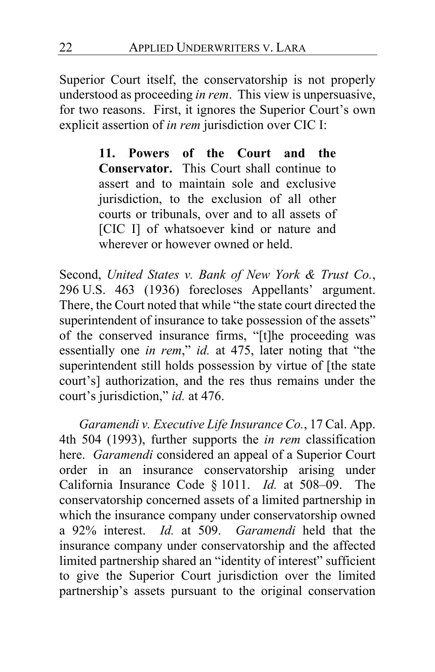Superior Court itself, the conservatorship is not properly understood as proceeding *in rem*. This view is unpersuasive, for two reasons. First, it ignores the Superior Court's own explicit assertion of *in rem* jurisdiction over CIC I:

> **11. Powers of the Court and the Conservator.** This Court shall continue to assert and to maintain sole and exclusive jurisdiction, to the exclusion of all other courts or tribunals, over and to all assets of [CIC I] of whatsoever kind or nature and wherever or however owned or held.

Second, *United States v. Bank of New York & Trust Co.*, 296 U.S. 463 (1936) forecloses Appellants' argument. There, the Court noted that while "the state court directed the superintendent of insurance to take possession of the assets" of the conserved insurance firms, "[t]he proceeding was essentially one *in rem*," *id.* at 475, later noting that "the superintendent still holds possession by virtue of [the state court's] authorization, and the res thus remains under the court's jurisdiction," *id.* at 476.

*Garamendi v. Executive Life Insurance Co.*, 17 Cal. App. 4th 504 (1993), further supports the *in rem* classification here. *Garamendi* considered an appeal of a Superior Court order in an insurance conservatorship arising under California Insurance Code § 1011. *Id.* at 508–09. The conservatorship concerned assets of a limited partnership in which the insurance company under conservatorship owned a 92% interest. *Id.* at 509. *Garamendi* held that the insurance company under conservatorship and the affected limited partnership shared an "identity of interest" sufficient to give the Superior Court jurisdiction over the limited partnership's assets pursuant to the original conservation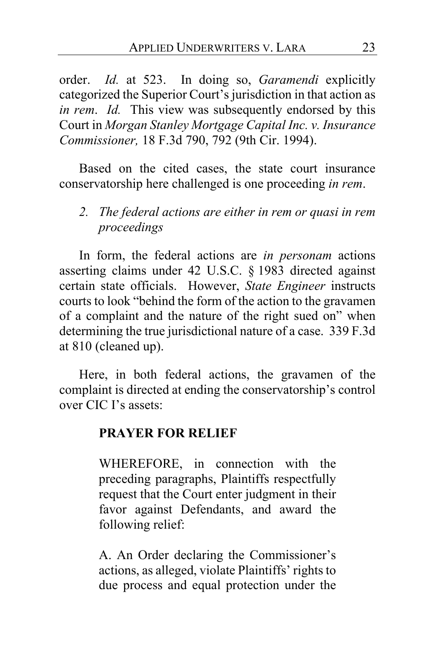order. *Id.* at 523. In doing so, *Garamendi* explicitly categorized the Superior Court's jurisdiction in that action as *in rem*. *Id.* This view was subsequently endorsed by this Court in *Morgan Stanley Mortgage Capital Inc. v. Insurance Commissioner,* 18 F.3d 790, 792 (9th Cir. 1994).

Based on the cited cases, the state court insurance conservatorship here challenged is one proceeding *in rem*.

*2. The federal actions are either in rem or quasi in rem proceedings*

In form, the federal actions are *in personam* actions asserting claims under 42 U.S.C. § 1983 directed against certain state officials. However, *State Engineer* instructs courts to look "behind the form of the action to the gravamen of a complaint and the nature of the right sued on" when determining the true jurisdictional nature of a case. 339 F.3d at 810 (cleaned up).

Here, in both federal actions, the gravamen of the complaint is directed at ending the conservatorship's control over CIC I's assets:

### **PRAYER FOR RELIEF**

WHEREFORE, in connection with the preceding paragraphs, Plaintiffs respectfully request that the Court enter judgment in their favor against Defendants, and award the following relief:

A. An Order declaring the Commissioner's actions, as alleged, violate Plaintiffs' rights to due process and equal protection under the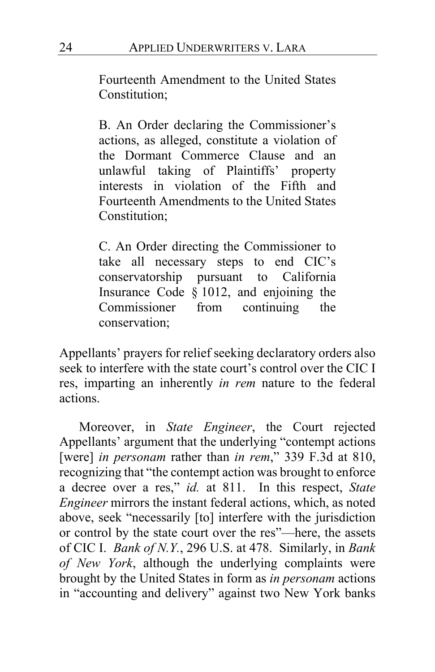Fourteenth Amendment to the United States Constitution;

B. An Order declaring the Commissioner's actions, as alleged, constitute a violation of the Dormant Commerce Clause and an unlawful taking of Plaintiffs' property interests in violation of the Fifth and Fourteenth Amendments to the United States Constitution;

C. An Order directing the Commissioner to take all necessary steps to end CIC's conservatorship pursuant to California Insurance Code § 1012, and enjoining the Commissioner from continuing the conservation;

Appellants' prayers for relief seeking declaratory orders also seek to interfere with the state court's control over the CIC I res, imparting an inherently *in rem* nature to the federal actions.

Moreover, in *State Engineer*, the Court rejected Appellants' argument that the underlying "contempt actions [were] *in personam* rather than *in rem*," 339 F.3d at 810, recognizing that "the contempt action was brought to enforce a decree over a res," *id.* at 811. In this respect, *State Engineer* mirrors the instant federal actions, which, as noted above, seek "necessarily [to] interfere with the jurisdiction or control by the state court over the res"—here, the assets of CIC I. *Bank of N.Y.*, 296 U.S. at 478. Similarly, in *Bank of New York*, although the underlying complaints were brought by the United States in form as *in personam* actions in "accounting and delivery" against two New York banks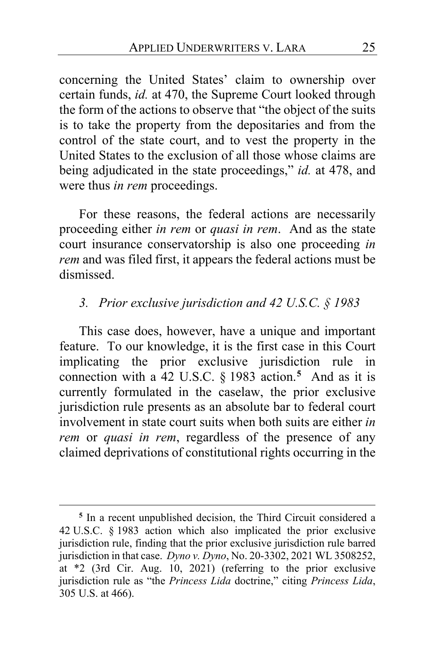concerning the United States' claim to ownership over certain funds, *id.* at 470, the Supreme Court looked through the form of the actions to observe that "the object of the suits is to take the property from the depositaries and from the control of the state court, and to vest the property in the United States to the exclusion of all those whose claims are being adjudicated in the state proceedings," *id.* at 478, and were thus *in rem* proceedings.

For these reasons, the federal actions are necessarily proceeding either *in rem* or *quasi in rem*. And as the state court insurance conservatorship is also one proceeding *in rem* and was filed first, it appears the federal actions must be dismissed.

### *3. Prior exclusive jurisdiction and 42 U.S.C. § 1983*

This case does, however, have a unique and important feature. To our knowledge, it is the first case in this Court implicating the prior exclusive jurisdiction rule in connection with a 42 U.S.C. § 1983 action.**[5](#page-24-0)** And as it is currently formulated in the caselaw, the prior exclusive jurisdiction rule presents as an absolute bar to federal court involvement in state court suits when both suits are either *in rem* or *quasi in rem*, regardless of the presence of any claimed deprivations of constitutional rights occurring in the

<span id="page-24-0"></span>**<sup>5</sup>** In a recent unpublished decision, the Third Circuit considered a 42 U.S.C. § 1983 action which also implicated the prior exclusive jurisdiction rule, finding that the prior exclusive jurisdiction rule barred jurisdiction in that case. *Dyno v. Dyno*, No. 20-3302, 2021 WL 3508252, at \*2 (3rd Cir. Aug. 10, 2021) (referring to the prior exclusive jurisdiction rule as "the *Princess Lida* doctrine," citing *Princess Lida*, 305 U.S. at 466).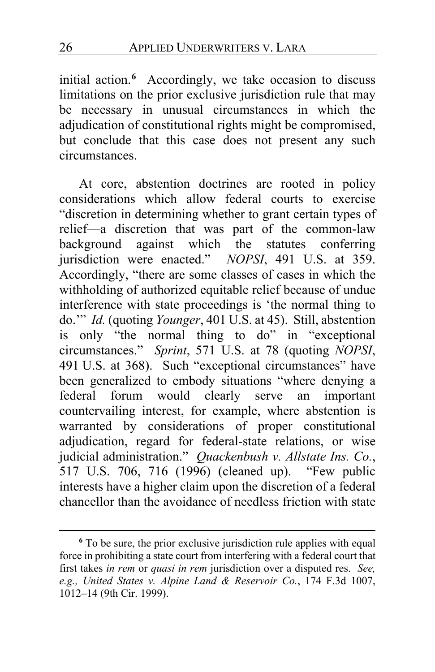initial action.**[6](#page-25-0)** Accordingly, we take occasion to discuss limitations on the prior exclusive jurisdiction rule that may be necessary in unusual circumstances in which the adjudication of constitutional rights might be compromised, but conclude that this case does not present any such circumstances.

At core, abstention doctrines are rooted in policy considerations which allow federal courts to exercise "discretion in determining whether to grant certain types of relief—a discretion that was part of the common-law background against which the statutes conferring jurisdiction were enacted." *NOPSI*, 491 U.S. at 359. Accordingly, "there are some classes of cases in which the withholding of authorized equitable relief because of undue interference with state proceedings is 'the normal thing to do.'" *Id.* (quoting *Younger*, 401 U.S. at 45). Still, abstention is only "the normal thing to do" in "exceptional circumstances." *Sprint*, 571 U.S. at 78 (quoting *NOPSI*, 491 U.S. at 368). Such "exceptional circumstances" have been generalized to embody situations "where denying a federal forum would clearly serve an important countervailing interest, for example, where abstention is warranted by considerations of proper constitutional adjudication, regard for federal-state relations, or wise judicial administration." *Quackenbush v. Allstate Ins. Co.*, 517 U.S. 706, 716 (1996) (cleaned up). "Few public interests have a higher claim upon the discretion of a federal chancellor than the avoidance of needless friction with state

<span id="page-25-0"></span>**<sup>6</sup>** To be sure, the prior exclusive jurisdiction rule applies with equal force in prohibiting a state court from interfering with a federal court that first takes *in rem* or *quasi in rem* jurisdiction over a disputed res. *See, e.g., United States v. Alpine Land & Reservoir Co.*, 174 F.3d 1007, 1012–14 (9th Cir. 1999).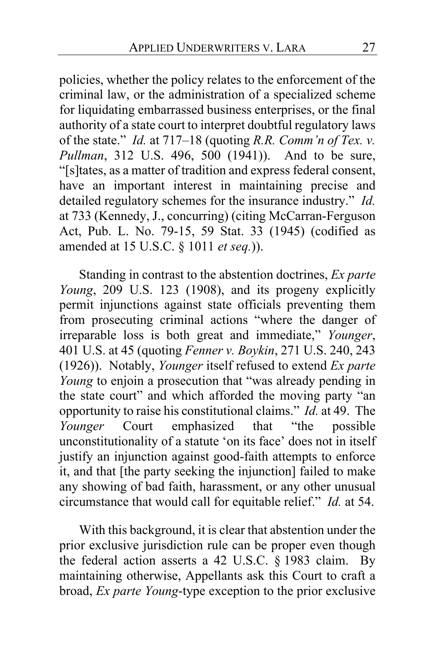policies, whether the policy relates to the enforcement of the criminal law, or the administration of a specialized scheme for liquidating embarrassed business enterprises, or the final authority of a state court to interpret doubtful regulatory laws of the state." *Id.* at 717–18 (quoting *R.R. Comm'n of Tex. v. Pullman*, 312 U.S. 496, 500 (1941)). And to be sure, "[s]tates, as a matter of tradition and express federal consent, have an important interest in maintaining precise and detailed regulatory schemes for the insurance industry." *Id.* at 733 (Kennedy, J., concurring) (citing McCarran-Ferguson Act, Pub. L. No. 79-15, 59 Stat. 33 (1945) (codified as amended at 15 U.S.C. § 1011 *et seq.*)).

Standing in contrast to the abstention doctrines, *Ex parte Young*, 209 U.S. 123 (1908), and its progeny explicitly permit injunctions against state officials preventing them from prosecuting criminal actions "where the danger of irreparable loss is both great and immediate," *Younger*, 401 U.S. at 45 (quoting *Fenner v. Boykin*, 271 U.S. 240, 243 (1926)). Notably, *Younger* itself refused to extend *Ex parte Young* to enjoin a prosecution that "was already pending in the state court" and which afforded the moving party "an opportunity to raise his constitutional claims." *Id.* at 49. The *Younger* Court emphasized that "the possible unconstitutionality of a statute 'on its face' does not in itself justify an injunction against good-faith attempts to enforce it, and that [the party seeking the injunction] failed to make any showing of bad faith, harassment, or any other unusual circumstance that would call for equitable relief." *Id.* at 54.

With this background, it is clear that abstention under the prior exclusive jurisdiction rule can be proper even though the federal action asserts a 42 U.S.C. § 1983 claim. By maintaining otherwise, Appellants ask this Court to craft a broad, *Ex parte Young*-type exception to the prior exclusive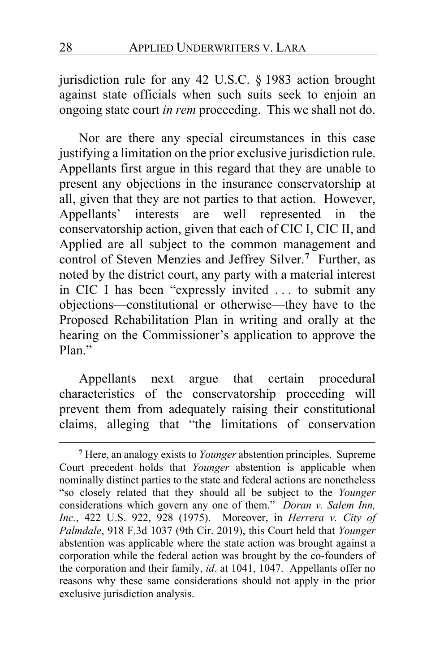jurisdiction rule for any 42 U.S.C. § 1983 action brought against state officials when such suits seek to enjoin an ongoing state court *in rem* proceeding. This we shall not do.

Nor are there any special circumstances in this case justifying a limitation on the prior exclusive jurisdiction rule. Appellants first argue in this regard that they are unable to present any objections in the insurance conservatorship at all, given that they are not parties to that action. However, Appellants' interests are well represented in the conservatorship action, given that each of CIC I, CIC II, and Applied are all subject to the common management and control of Steven Menzies and Jeffrey Silver.**[7](#page-27-0)** Further, as noted by the district court, any party with a material interest in CIC I has been "expressly invited . . . to submit any objections—constitutional or otherwise—they have to the Proposed Rehabilitation Plan in writing and orally at the hearing on the Commissioner's application to approve the Plan."

Appellants next argue that certain procedural characteristics of the conservatorship proceeding will prevent them from adequately raising their constitutional claims, alleging that "the limitations of conservation

<span id="page-27-0"></span>**<sup>7</sup>** Here, an analogy exists to *Younger* abstention principles. Supreme Court precedent holds that *Younger* abstention is applicable when nominally distinct parties to the state and federal actions are nonetheless "so closely related that they should all be subject to the *Younger* considerations which govern any one of them." *Doran v. Salem Inn, Inc.*, 422 U.S. 922, 928 (1975). Moreover, in *Herrera v. City of Palmdale*, 918 F.3d 1037 (9th Cir. 2019), this Court held that *Younger* abstention was applicable where the state action was brought against a corporation while the federal action was brought by the co-founders of the corporation and their family, *id.* at 1041, 1047. Appellants offer no reasons why these same considerations should not apply in the prior exclusive jurisdiction analysis.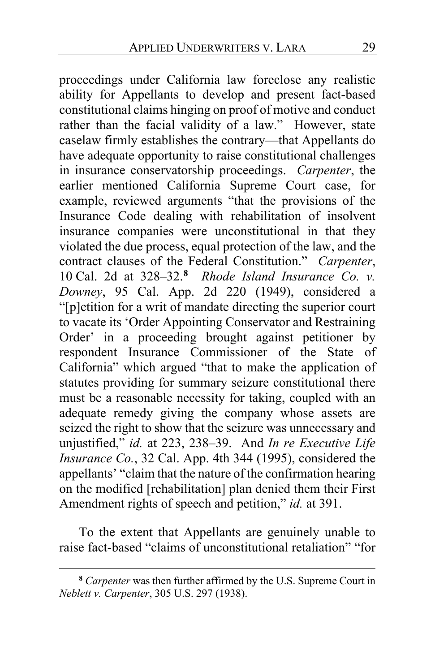proceedings under California law foreclose any realistic ability for Appellants to develop and present fact-based constitutional claims hinging on proof of motive and conduct rather than the facial validity of a law." However, state caselaw firmly establishes the contrary—that Appellants do have adequate opportunity to raise constitutional challenges in insurance conservatorship proceedings. *Carpenter*, the earlier mentioned California Supreme Court case, for example, reviewed arguments "that the provisions of the Insurance Code dealing with rehabilitation of insolvent insurance companies were unconstitutional in that they violated the due process, equal protection of the law, and the contract clauses of the Federal Constitution." *Carpenter*, 10 Cal. 2d at 328–32.**[8](#page-28-0)** *Rhode Island Insurance Co. v. Downey*, 95 Cal. App. 2d 220 (1949), considered a "[p]etition for a writ of mandate directing the superior court to vacate its 'Order Appointing Conservator and Restraining Order' in a proceeding brought against petitioner by respondent Insurance Commissioner of the State of California" which argued "that to make the application of statutes providing for summary seizure constitutional there must be a reasonable necessity for taking, coupled with an adequate remedy giving the company whose assets are seized the right to show that the seizure was unnecessary and unjustified," *id.* at 223, 238–39. And *In re Executive Life Insurance Co.*, 32 Cal. App. 4th 344 (1995), considered the appellants' "claim that the nature of the confirmation hearing on the modified [rehabilitation] plan denied them their First Amendment rights of speech and petition," *id.* at 391.

To the extent that Appellants are genuinely unable to raise fact-based "claims of unconstitutional retaliation" "for

<span id="page-28-0"></span>**<sup>8</sup>** *Carpenter* was then further affirmed by the U.S. Supreme Court in *Neblett v. Carpenter*, 305 U.S. 297 (1938).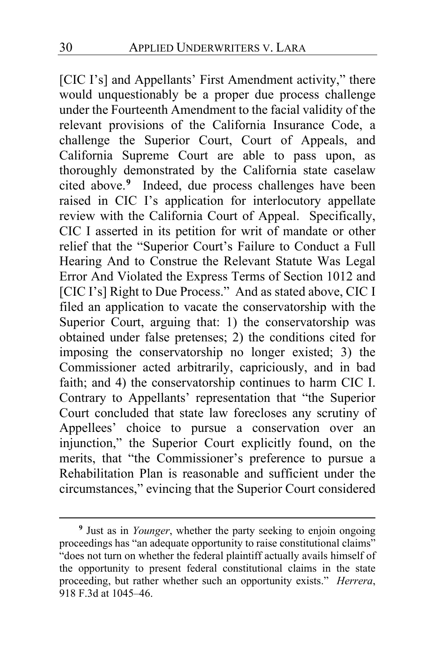[CIC I's] and Appellants' First Amendment activity," there would unquestionably be a proper due process challenge under the Fourteenth Amendment to the facial validity of the relevant provisions of the California Insurance Code, a challenge the Superior Court, Court of Appeals, and California Supreme Court are able to pass upon, as thoroughly demonstrated by the California state caselaw cited above.**[9](#page-29-0)** Indeed, due process challenges have been raised in CIC I's application for interlocutory appellate review with the California Court of Appeal. Specifically, CIC I asserted in its petition for writ of mandate or other relief that the "Superior Court's Failure to Conduct a Full Hearing And to Construe the Relevant Statute Was Legal Error And Violated the Express Terms of Section 1012 and [CIC I's] Right to Due Process." And as stated above, CIC I filed an application to vacate the conservatorship with the Superior Court, arguing that: 1) the conservatorship was obtained under false pretenses; 2) the conditions cited for imposing the conservatorship no longer existed; 3) the Commissioner acted arbitrarily, capriciously, and in bad faith; and 4) the conservatorship continues to harm CIC I. Contrary to Appellants' representation that "the Superior Court concluded that state law forecloses any scrutiny of Appellees' choice to pursue a conservation over an injunction," the Superior Court explicitly found, on the merits, that "the Commissioner's preference to pursue a Rehabilitation Plan is reasonable and sufficient under the circumstances," evincing that the Superior Court considered

<span id="page-29-0"></span>**<sup>9</sup>** Just as in *Younger*, whether the party seeking to enjoin ongoing proceedings has "an adequate opportunity to raise constitutional claims" "does not turn on whether the federal plaintiff actually avails himself of the opportunity to present federal constitutional claims in the state proceeding, but rather whether such an opportunity exists." *Herrera*, 918 F.3d at 1045–46.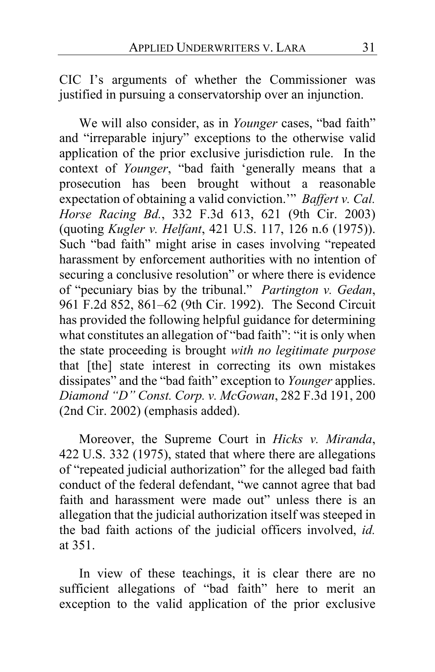CIC I's arguments of whether the Commissioner was justified in pursuing a conservatorship over an injunction.

We will also consider, as in *Younger* cases, "bad faith" and "irreparable injury" exceptions to the otherwise valid application of the prior exclusive jurisdiction rule. In the context of *Younger*, "bad faith 'generally means that a prosecution has been brought without a reasonable expectation of obtaining a valid conviction.'" *Baffert v. Cal. Horse Racing Bd.*, 332 F.3d 613, 621 (9th Cir. 2003) (quoting *Kugler v. Helfant*, 421 U.S. 117, 126 n.6 (1975)). Such "bad faith" might arise in cases involving "repeated harassment by enforcement authorities with no intention of securing a conclusive resolution" or where there is evidence of "pecuniary bias by the tribunal." *Partington v. Gedan*, 961 F.2d 852, 861–62 (9th Cir. 1992). The Second Circuit has provided the following helpful guidance for determining what constitutes an allegation of "bad faith": "it is only when the state proceeding is brought *with no legitimate purpose* that [the] state interest in correcting its own mistakes dissipates" and the "bad faith" exception to *Younger* applies. *Diamond "D" Const. Corp. v. McGowan*, 282 F.3d 191, 200 (2nd Cir. 2002) (emphasis added).

Moreover, the Supreme Court in *Hicks v. Miranda*, 422 U.S. 332 (1975), stated that where there are allegations of "repeated judicial authorization" for the alleged bad faith conduct of the federal defendant, "we cannot agree that bad faith and harassment were made out" unless there is an allegation that the judicial authorization itself was steeped in the bad faith actions of the judicial officers involved, *id.*  at 351.

In view of these teachings, it is clear there are no sufficient allegations of "bad faith" here to merit an exception to the valid application of the prior exclusive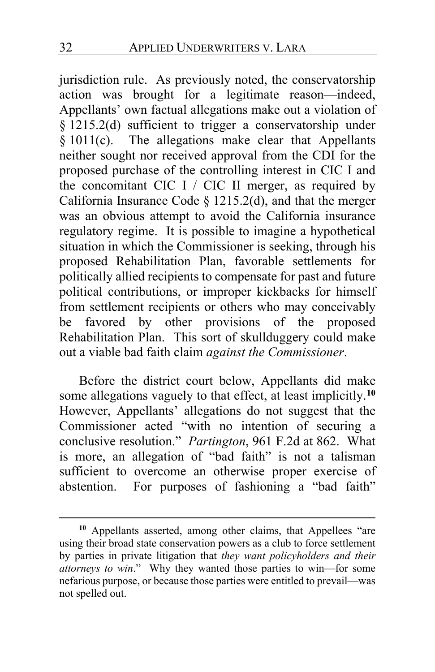jurisdiction rule. As previously noted, the conservatorship action was brought for a legitimate reason—indeed, Appellants' own factual allegations make out a violation of § 1215.2(d) sufficient to trigger a conservatorship under  $§ 1011(c).$  The allegations make clear that Appellants neither sought nor received approval from the CDI for the proposed purchase of the controlling interest in CIC I and the concomitant CIC I / CIC II merger, as required by California Insurance Code  $\S$  1215.2(d), and that the merger was an obvious attempt to avoid the California insurance regulatory regime. It is possible to imagine a hypothetical situation in which the Commissioner is seeking, through his proposed Rehabilitation Plan, favorable settlements for politically allied recipients to compensate for past and future political contributions, or improper kickbacks for himself from settlement recipients or others who may conceivably be favored by other provisions of the proposed Rehabilitation Plan. This sort of skullduggery could make out a viable bad faith claim *against the Commissioner*.

Before the district court below, Appellants did make some allegations vaguely to that effect, at least implicitly.**[10](#page-31-0)** However, Appellants' allegations do not suggest that the Commissioner acted "with no intention of securing a conclusive resolution." *Partington*, 961 F.2d at 862. What is more, an allegation of "bad faith" is not a talisman sufficient to overcome an otherwise proper exercise of abstention. For purposes of fashioning a "bad faith"

<span id="page-31-0"></span>**<sup>10</sup>** Appellants asserted, among other claims, that Appellees "are using their broad state conservation powers as a club to force settlement by parties in private litigation that *they want policyholders and their attorneys to win*." Why they wanted those parties to win—for some nefarious purpose, or because those parties were entitled to prevail—was not spelled out.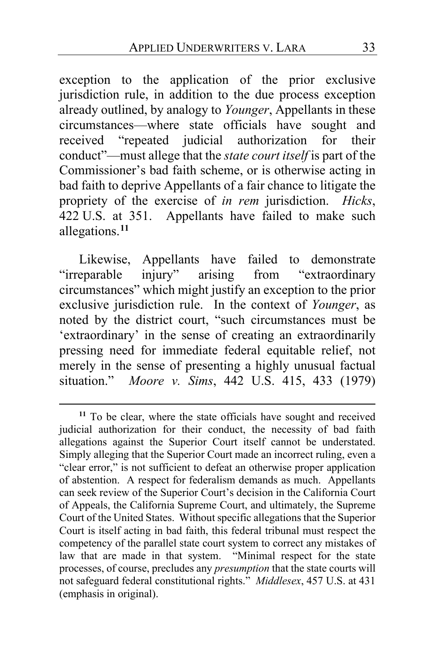exception to the application of the prior exclusive jurisdiction rule, in addition to the due process exception already outlined, by analogy to *Younger*, Appellants in these circumstances—where state officials have sought and received "repeated judicial authorization for their conduct"—must allege that the *state court itself* is part of the Commissioner's bad faith scheme, or is otherwise acting in bad faith to deprive Appellants of a fair chance to litigate the propriety of the exercise of *in rem* jurisdiction. *Hicks*, 422 U.S. at 351. Appellants have failed to make such allegations.**[11](#page-32-0)**

Likewise, Appellants have failed to demonstrate "irreparable injury" arising from "extraordinary circumstances" which might justify an exception to the prior exclusive jurisdiction rule. In the context of *Younger*, as noted by the district court, "such circumstances must be 'extraordinary' in the sense of creating an extraordinarily pressing need for immediate federal equitable relief, not merely in the sense of presenting a highly unusual factual situation." *Moore v. Sims*, 442 U.S. 415, 433 (1979)

<span id="page-32-0"></span>**<sup>11</sup>** To be clear, where the state officials have sought and received judicial authorization for their conduct, the necessity of bad faith allegations against the Superior Court itself cannot be understated. Simply alleging that the Superior Court made an incorrect ruling, even a "clear error," is not sufficient to defeat an otherwise proper application of abstention. A respect for federalism demands as much. Appellants can seek review of the Superior Court's decision in the California Court of Appeals, the California Supreme Court, and ultimately, the Supreme Court of the United States. Without specific allegations that the Superior Court is itself acting in bad faith, this federal tribunal must respect the competency of the parallel state court system to correct any mistakes of law that are made in that system. "Minimal respect for the state processes, of course, precludes any *presumption* that the state courts will not safeguard federal constitutional rights." *Middlesex*, 457 U.S. at 431 (emphasis in original).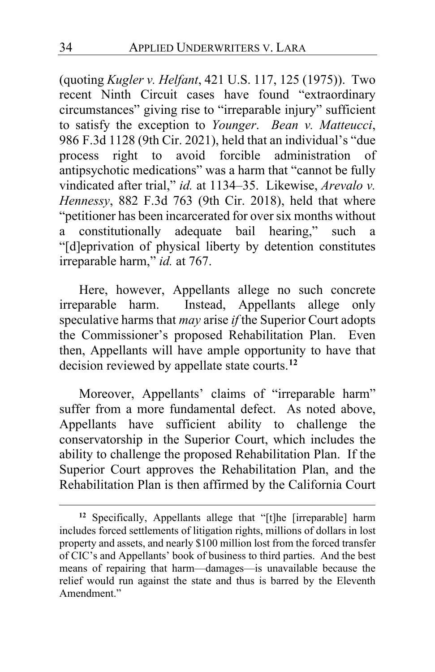(quoting *Kugler v. Helfant*, 421 U.S. 117, 125 (1975)). Two recent Ninth Circuit cases have found "extraordinary circumstances" giving rise to "irreparable injury" sufficient to satisfy the exception to *Younger*. *Bean v. Matteucci*, 986 F.3d 1128 (9th Cir. 2021), held that an individual's "due process right to avoid forcible administration of antipsychotic medications" was a harm that "cannot be fully vindicated after trial," *id.* at 1134–35. Likewise, *Arevalo v. Hennessy*, 882 F.3d 763 (9th Cir. 2018), held that where "petitioner has been incarcerated for over six months without a constitutionally adequate bail hearing," such a "[d]eprivation of physical liberty by detention constitutes irreparable harm," *id.* at 767.

Here, however, Appellants allege no such concrete irreparable harm. Instead, Appellants allege only speculative harms that *may* arise *if* the Superior Court adopts the Commissioner's proposed Rehabilitation Plan. Even then, Appellants will have ample opportunity to have that decision reviewed by appellate state courts.**[12](#page-33-0)**

Moreover, Appellants' claims of "irreparable harm" suffer from a more fundamental defect. As noted above, Appellants have sufficient ability to challenge the conservatorship in the Superior Court, which includes the ability to challenge the proposed Rehabilitation Plan. If the Superior Court approves the Rehabilitation Plan, and the Rehabilitation Plan is then affirmed by the California Court

<span id="page-33-0"></span>**<sup>12</sup>** Specifically, Appellants allege that "[t]he [irreparable] harm includes forced settlements of litigation rights, millions of dollars in lost property and assets, and nearly \$100 million lost from the forced transfer of CIC's and Appellants' book of business to third parties. And the best means of repairing that harm—damages—is unavailable because the relief would run against the state and thus is barred by the Eleventh Amendment."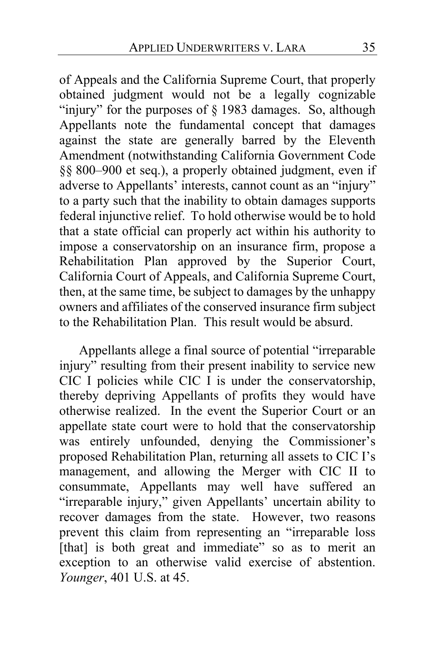of Appeals and the California Supreme Court, that properly obtained judgment would not be a legally cognizable "injury" for the purposes of § 1983 damages. So, although Appellants note the fundamental concept that damages against the state are generally barred by the Eleventh Amendment (notwithstanding California Government Code §§ 800–900 et seq.), a properly obtained judgment, even if adverse to Appellants' interests, cannot count as an "injury" to a party such that the inability to obtain damages supports federal injunctive relief. To hold otherwise would be to hold that a state official can properly act within his authority to impose a conservatorship on an insurance firm, propose a Rehabilitation Plan approved by the Superior Court, California Court of Appeals, and California Supreme Court, then, at the same time, be subject to damages by the unhappy owners and affiliates of the conserved insurance firm subject to the Rehabilitation Plan. This result would be absurd.

Appellants allege a final source of potential "irreparable injury" resulting from their present inability to service new CIC I policies while CIC I is under the conservatorship, thereby depriving Appellants of profits they would have otherwise realized. In the event the Superior Court or an appellate state court were to hold that the conservatorship was entirely unfounded, denying the Commissioner's proposed Rehabilitation Plan, returning all assets to CIC I's management, and allowing the Merger with CIC II to consummate, Appellants may well have suffered an "irreparable injury," given Appellants' uncertain ability to recover damages from the state. However, two reasons prevent this claim from representing an "irreparable loss [that] is both great and immediate" so as to merit an exception to an otherwise valid exercise of abstention. *Younger*, 401 U.S. at 45.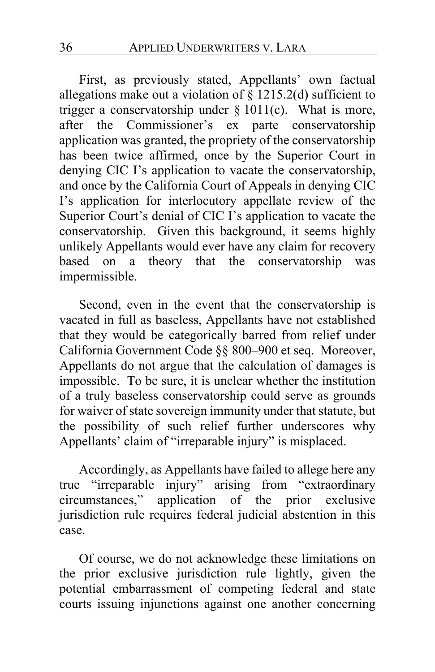First, as previously stated, Appellants' own factual allegations make out a violation of  $\S$  1215.2(d) sufficient to trigger a conservatorship under § 1011(c). What is more, after the Commissioner's ex parte conservatorship application was granted, the propriety of the conservatorship has been twice affirmed, once by the Superior Court in denying CIC I's application to vacate the conservatorship, and once by the California Court of Appeals in denying CIC I's application for interlocutory appellate review of the Superior Court's denial of CIC I's application to vacate the conservatorship. Given this background, it seems highly unlikely Appellants would ever have any claim for recovery based on a theory that the conservatorship was impermissible.

Second, even in the event that the conservatorship is vacated in full as baseless, Appellants have not established that they would be categorically barred from relief under California Government Code §§ 800–900 et seq. Moreover, Appellants do not argue that the calculation of damages is impossible. To be sure, it is unclear whether the institution of a truly baseless conservatorship could serve as grounds for waiver of state sovereign immunity under that statute, but the possibility of such relief further underscores why Appellants' claim of "irreparable injury" is misplaced.

Accordingly, as Appellants have failed to allege here any true "irreparable injury" arising from "extraordinary circumstances," application of the prior exclusive jurisdiction rule requires federal judicial abstention in this case.

Of course, we do not acknowledge these limitations on the prior exclusive jurisdiction rule lightly, given the potential embarrassment of competing federal and state courts issuing injunctions against one another concerning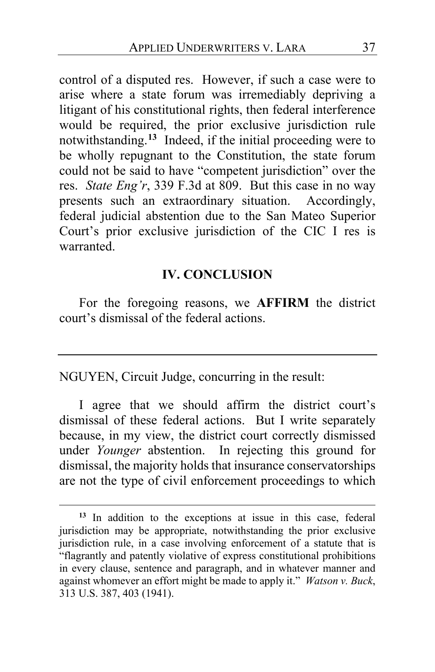control of a disputed res. However, if such a case were to arise where a state forum was irremediably depriving a litigant of his constitutional rights, then federal interference would be required, the prior exclusive jurisdiction rule notwithstanding.**[13](#page-36-0)** Indeed, if the initial proceeding were to be wholly repugnant to the Constitution, the state forum could not be said to have "competent jurisdiction" over the res. *State Eng'r*, 339 F.3d at 809. But this case in no way presents such an extraordinary situation. Accordingly, federal judicial abstention due to the San Mateo Superior Court's prior exclusive jurisdiction of the CIC I res is warranted.

### **IV. CONCLUSION**

For the foregoing reasons, we **AFFIRM** the district court's dismissal of the federal actions.

NGUYEN, Circuit Judge, concurring in the result:

I agree that we should affirm the district court's dismissal of these federal actions. But I write separately because, in my view, the district court correctly dismissed under *Younger* abstention. In rejecting this ground for dismissal, the majority holds that insurance conservatorships are not the type of civil enforcement proceedings to which

<span id="page-36-0"></span>**<sup>13</sup>** In addition to the exceptions at issue in this case, federal jurisdiction may be appropriate, notwithstanding the prior exclusive jurisdiction rule, in a case involving enforcement of a statute that is "flagrantly and patently violative of express constitutional prohibitions in every clause, sentence and paragraph, and in whatever manner and against whomever an effort might be made to apply it." *Watson v. Buck*, 313 U.S. 387, 403 (1941).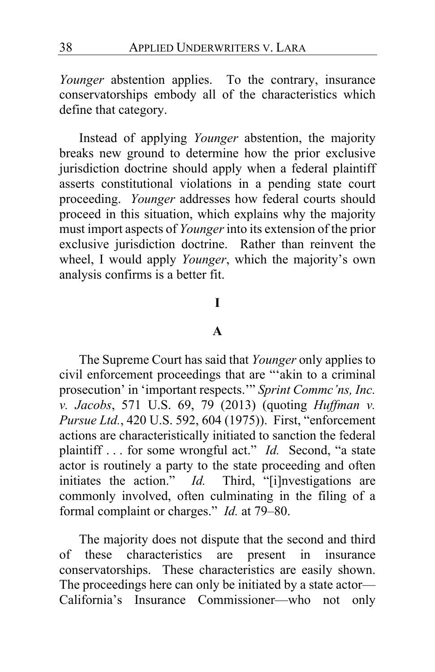*Younger* abstention applies. To the contrary, insurance conservatorships embody all of the characteristics which define that category.

Instead of applying *Younger* abstention, the majority breaks new ground to determine how the prior exclusive jurisdiction doctrine should apply when a federal plaintiff asserts constitutional violations in a pending state court proceeding. *Younger* addresses how federal courts should proceed in this situation, which explains why the majority must import aspects of *Younger* into its extension of the prior exclusive jurisdiction doctrine. Rather than reinvent the wheel, I would apply *Younger*, which the majority's own analysis confirms is a better fit.

#### **I**

### **A**

The Supreme Court has said that *Younger* only applies to civil enforcement proceedings that are "'akin to a criminal prosecution' in 'important respects.'" *Sprint Commc'ns, Inc. v. Jacobs*, 571 U.S. 69, 79 (2013) (quoting *Huffman v. Pursue Ltd.*, 420 U.S. 592, 604 (1975)). First, "enforcement actions are characteristically initiated to sanction the federal plaintiff . . . for some wrongful act." *Id.* Second, "a state actor is routinely a party to the state proceeding and often initiates the action." *Id.* Third, "[i]nvestigations are commonly involved, often culminating in the filing of a formal complaint or charges." *Id.* at 79–80.

The majority does not dispute that the second and third of these characteristics are present in insurance conservatorships. These characteristics are easily shown. The proceedings here can only be initiated by a state actor— California's Insurance Commissioner—who not only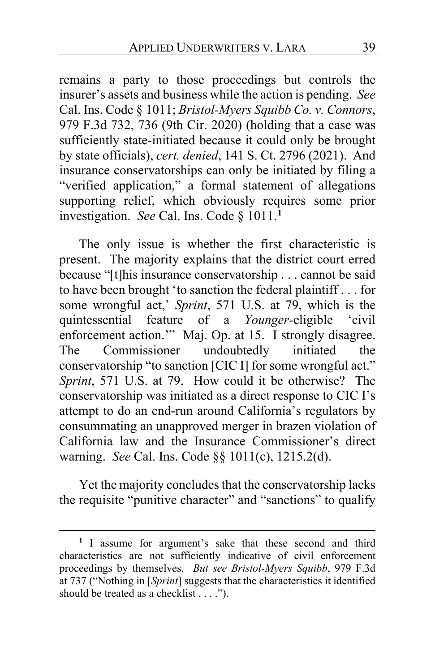remains a party to those proceedings but controls the insurer's assets and business while the action is pending. *See*  Cal. Ins. Code § 1011; *Bristol-Myers Squibb Co. v. Connors*, 979 F.3d 732, 736 (9th Cir. 2020) (holding that a case was sufficiently state-initiated because it could only be brought by state officials), *cert. denied*, 141 S. Ct. 2796 (2021). And insurance conservatorships can only be initiated by filing a "verified application," a formal statement of allegations supporting relief, which obviously requires some prior investigation. *See* Cal. Ins. Code § 1011.**[1](#page-38-0)**

The only issue is whether the first characteristic is present. The majority explains that the district court erred because "[t]his insurance conservatorship . . . cannot be said to have been brought 'to sanction the federal plaintiff . . . for some wrongful act,' *Sprint*, 571 U.S. at 79, which is the quintessential feature of a *Younger-*eligible 'civil enforcement action." Maj. Op. at [15.](#page-14-0) I strongly disagree. The Commissioner undoubtedly initiated the conservatorship "to sanction [CIC I] for some wrongful act." *Sprint*, 571 U.S. at 79. How could it be otherwise? The conservatorship was initiated as a direct response to CIC I's attempt to do an end-run around California's regulators by consummating an unapproved merger in brazen violation of California law and the Insurance Commissioner's direct warning. *See* Cal. Ins. Code §§ 1011(c), 1215.2(d).

Yet the majority concludes that the conservatorship lacks the requisite "punitive character" and "sanctions" to qualify

<span id="page-38-0"></span>**<sup>1</sup>** I assume for argument's sake that these second and third characteristics are not sufficiently indicative of civil enforcement proceedings by themselves. *But see Bristol-Myers Squibb*, 979 F.3d at 737 ("Nothing in [*Sprint*] suggests that the characteristics it identified should be treated as a checklist . . . .").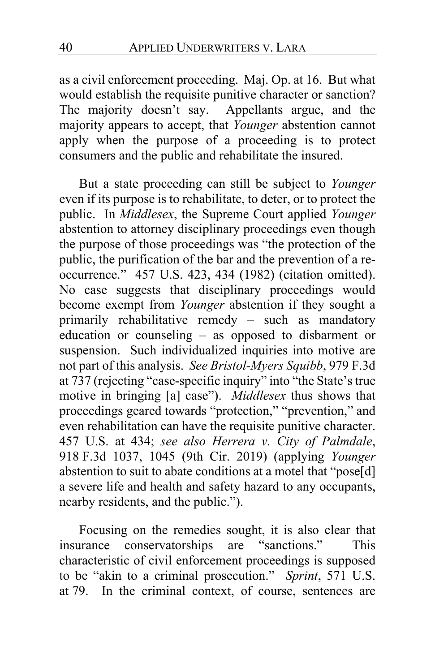as a civil enforcement proceeding. Maj. Op. a[t 16.](#page-15-0) But what would establish the requisite punitive character or sanction? The majority doesn't say. Appellants argue, and the majority appears to accept, that *Younger* abstention cannot apply when the purpose of a proceeding is to protect consumers and the public and rehabilitate the insured.

But a state proceeding can still be subject to *Younger*  even if its purpose is to rehabilitate, to deter, or to protect the public. In *Middlesex*, the Supreme Court applied *Younger*  abstention to attorney disciplinary proceedings even though the purpose of those proceedings was "the protection of the public, the purification of the bar and the prevention of a reoccurrence." 457 U.S. 423, 434 (1982) (citation omitted). No case suggests that disciplinary proceedings would become exempt from *Younger* abstention if they sought a primarily rehabilitative remedy – such as mandatory education or counseling – as opposed to disbarment or suspension. Such individualized inquiries into motive are not part of this analysis. *See Bristol-Myers Squibb*, 979 F.3d at 737 (rejecting "case-specific inquiry" into "the State's true motive in bringing [a] case"). *Middlesex* thus shows that proceedings geared towards "protection," "prevention," and even rehabilitation can have the requisite punitive character. 457 U.S. at 434; *see also Herrera v. City of Palmdale*, 918 F.3d 1037, 1045 (9th Cir. 2019) (applying *Younger*  abstention to suit to abate conditions at a motel that "pose[d] a severe life and health and safety hazard to any occupants, nearby residents, and the public.").

Focusing on the remedies sought, it is also clear that insurance conservatorships are "sanctions." This characteristic of civil enforcement proceedings is supposed to be "akin to a criminal prosecution." *Sprint*, 571 U.S. at 79. In the criminal context, of course, sentences are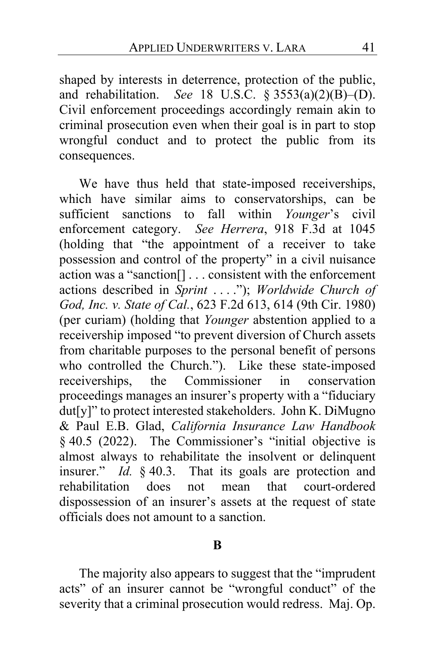shaped by interests in deterrence, protection of the public, and rehabilitation. *See* 18 U.S.C. § 3553(a)(2)(B)–(D). Civil enforcement proceedings accordingly remain akin to criminal prosecution even when their goal is in part to stop wrongful conduct and to protect the public from its consequences.

We have thus held that state-imposed receiverships, which have similar aims to conservatorships, can be sufficient sanctions to fall within *Younger*'s civil enforcement category. *See Herrera*, 918 F.3d at 1045 (holding that "the appointment of a receiver to take possession and control of the property" in a civil nuisance action was a "sanction[] . . . consistent with the enforcement actions described in *Sprint* . . . ."); *Worldwide Church of God, Inc. v. State of Cal.*, 623 F.2d 613, 614 (9th Cir. 1980) (per curiam) (holding that *Younger* abstention applied to a receivership imposed "to prevent diversion of Church assets from charitable purposes to the personal benefit of persons who controlled the Church."). Like these state-imposed receiverships, the Commissioner in conservation proceedings manages an insurer's property with a "fiduciary dut[y]" to protect interested stakeholders. John K. DiMugno & Paul E.B. Glad, *California Insurance Law Handbook*  § 40.5 (2022). The Commissioner's "initial objective is almost always to rehabilitate the insolvent or delinquent insurer." *Id.* § 40.3. That its goals are protection and rehabilitation does not mean that court-ordered dispossession of an insurer's assets at the request of state officials does not amount to a sanction.

#### **B**

The majority also appears to suggest that the "imprudent acts" of an insurer cannot be "wrongful conduct" of the severity that a criminal prosecution would redress. Maj. Op.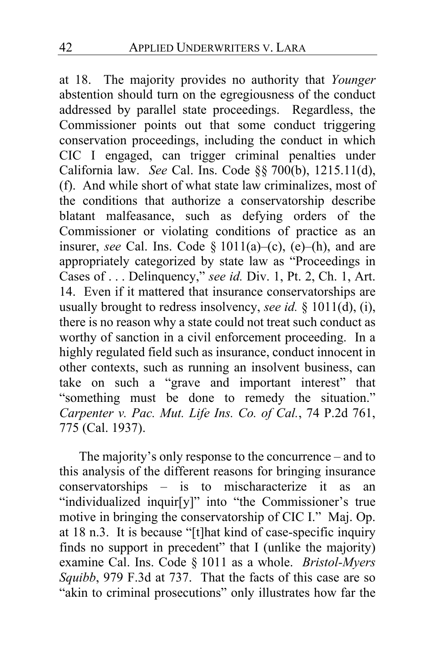at [18.](#page-17-1) The majority provides no authority that *Younger*  abstention should turn on the egregiousness of the conduct addressed by parallel state proceedings. Regardless, the Commissioner points out that some conduct triggering conservation proceedings, including the conduct in which CIC I engaged, can trigger criminal penalties under California law. *See* Cal. Ins. Code §§ 700(b), 1215.11(d), (f). And while short of what state law criminalizes, most of the conditions that authorize a conservatorship describe blatant malfeasance, such as defying orders of the Commissioner or violating conditions of practice as an insurer, *see* Cal. Ins. Code § 1011(a)–(c), (e)–(h), and are appropriately categorized by state law as "Proceedings in Cases of . . . Delinquency," *see id.* Div. 1, Pt. 2, Ch. 1, Art. 14. Even if it mattered that insurance conservatorships are usually brought to redress insolvency, *see id.* § 1011(d), (i), there is no reason why a state could not treat such conduct as worthy of sanction in a civil enforcement proceeding. In a highly regulated field such as insurance, conduct innocent in other contexts, such as running an insolvent business, can take on such a "grave and important interest" that "something must be done to remedy the situation." *Carpenter v. Pac. Mut. Life Ins. Co. of Cal.*, 74 P.2d 761, 775 (Cal. 1937).

The majority's only response to the concurrence – and to this analysis of the different reasons for bringing insurance conservatorships – is to mischaracterize it as an "individualized inquir[y]" into "the Commissioner's true motive in bringing the conservatorship of CIC I." Maj. Op. at [18](#page-17-2) n.3. It is because "[t]hat kind of case-specific inquiry finds no support in precedent" that I (unlike the majority) examine Cal. Ins. Code § 1011 as a whole. *Bristol-Myers Squibb*, 979 F.3d at 737. That the facts of this case are so "akin to criminal prosecutions" only illustrates how far the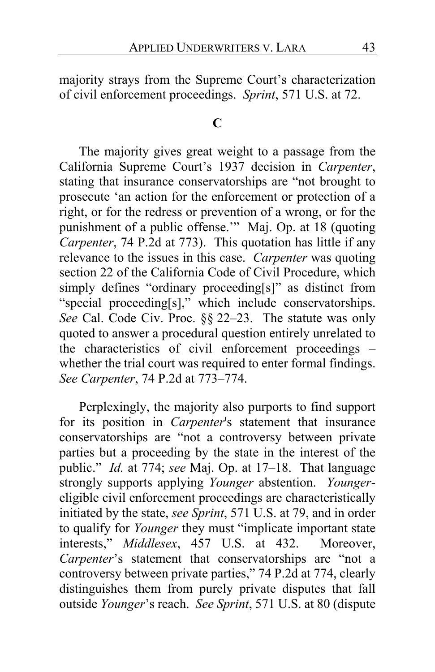majority strays from the Supreme Court's characterization of civil enforcement proceedings. *Sprint*, 571 U.S. at 72.

### **C**

The majority gives great weight to a passage from the California Supreme Court's 1937 decision in *Carpenter*, stating that insurance conservatorships are "not brought to prosecute 'an action for the enforcement or protection of a right, or for the redress or prevention of a wrong, or for the punishment of a public offense.'" Maj. Op. at 18 (quoting *Carpenter*, 74 P.2d at 773). This quotation has little if any relevance to the issues in this case. *Carpenter* was quoting section 22 of the California Code of Civil Procedure, which simply defines "ordinary proceeding[s]" as distinct from "special proceeding[s]," which include conservatorships. *See* Cal. Code Civ. Proc. §§ 22–23. The statute was only quoted to answer a procedural question entirely unrelated to the characteristics of civil enforcement proceedings – whether the trial court was required to enter formal findings. *See Carpenter*, 74 P.2d at 773–774.

Perplexingly, the majority also purports to find support for its position in *Carpenter*'s statement that insurance conservatorships are "not a controversy between private parties but a proceeding by the state in the interest of the public." *Id.* at 774; *see* Maj. Op. at 17–18. That language strongly supports applying *Younger* abstention. *Younger*eligible civil enforcement proceedings are characteristically initiated by the state, *see Sprint*, 571 U.S. at 79, and in order to qualify for *Younger* they must "implicate important state interests," *Middlesex*, 457 U.S. at 432. Moreover, *Carpenter*'s statement that conservatorships are "not a controversy between private parties," 74 P.2d at 774, clearly distinguishes them from purely private disputes that fall outside *Younger*'s reach. *See Sprint*, 571 U.S. at 80 (dispute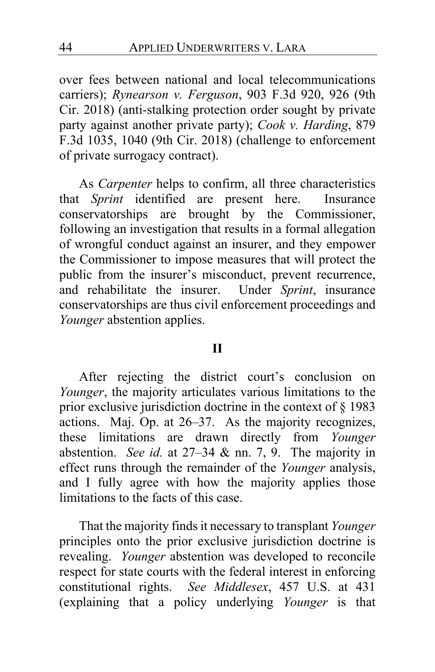over fees between national and local telecommunications carriers); *Rynearson v. Ferguson*, 903 F.3d 920, 926 (9th Cir. 2018) (anti-stalking protection order sought by private party against another private party); *Cook v. Harding*, 879 F.3d 1035, 1040 (9th Cir. 2018) (challenge to enforcement of private surrogacy contract).

As *Carpenter* helps to confirm, all three characteristics that *Sprint* identified are present here. Insurance conservatorships are brought by the Commissioner, following an investigation that results in a formal allegation of wrongful conduct against an insurer, and they empower the Commissioner to impose measures that will protect the public from the insurer's misconduct, prevent recurrence, and rehabilitate the insurer. Under *Sprint*, insurance conservatorships are thus civil enforcement proceedings and *Younger* abstention applies.

#### **II**

After rejecting the district court's conclusion on *Younger*, the majority articulates various limitations to the prior exclusive jurisdiction doctrine in the context of § 1983 actions. Maj. Op. at 26–37. As the majority recognizes, these limitations are drawn directly from *Younger*  abstention. *See id.* at 27–34 & nn. 7, 9. The majority in effect runs through the remainder of the *Younger* analysis, and I fully agree with how the majority applies those limitations to the facts of this case.

That the majority finds it necessary to transplant *Younger*  principles onto the prior exclusive jurisdiction doctrine is revealing. *Younger* abstention was developed to reconcile respect for state courts with the federal interest in enforcing constitutional rights. *See Middlesex*, 457 U.S. at 431 (explaining that a policy underlying *Younger* is that